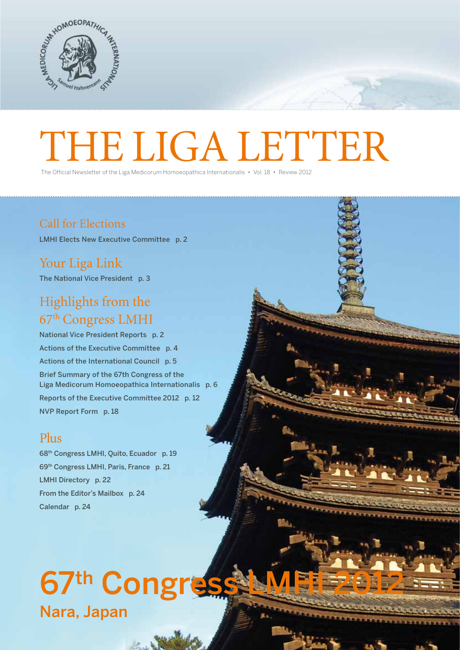

# The Official Newsletter of the Liga Medicorum Homoeopathica Internationalis · Vol.18 · Review 2012

The Official Newsletter of the Liga Medicorum Homoeopathica Internationalis • Vol. 18 • Review 2012

# Call for Elections

LMHI Elects New Executive Committee p. 2

Your Liga Link The National Vice President p. 3

# Highlights from the 67th Congress LMHI

National Vice President Reports p. 2 Actions of the Executive Committee p. 4 Actions of the International Council p. 5 Brief Summary of the 67th Congress of the Liga Medicorum Homoeopathica Internationalis p. 6 Reports of the Executive Committee 2012 p. 12 NVP Report Form p. 18

# Plus

68th Congress LMHI, Quito, Ecuador p. 19 69th Congress LMHI, Paris, France p. 21 LMHI Directory p. 22 From the Editor's Mailbox p. 24 Calendar p. 24

# 67th Congres Nara, Japan

1 The Liga Letter experience of the Liga Letter experience of the Liga Letter experience of the Liga Letter experience of the Liga Letter experience of the Liga Letter experience of the Liga Letter experience of the Liga L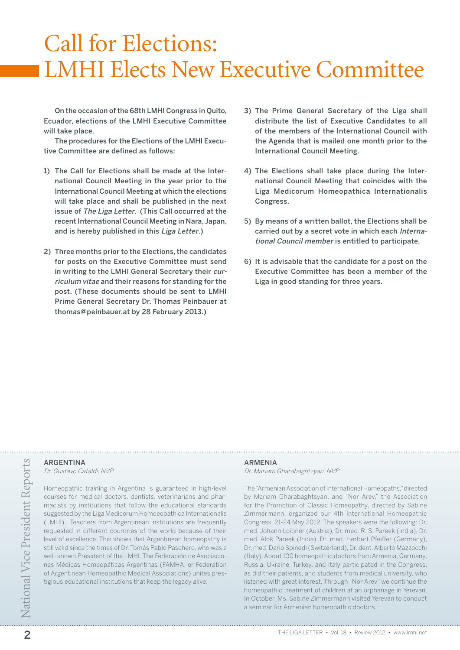# Call for Elections: LMHI Elects New Executive Committee

On the occasion of the 68th LMHI Congress in Quito, Ecuador, elections of the LMHI Executive Committee will take place.

The procedures for the Elections of the LMHI Executive Committee are defined as follows:

- 1) The Call for Elections shall be made at the International Council Meeting in the year prior to the International Council Meeting at which the elections will take place and shall be published in the next issue of The Liga Letter. (This Call occurred at the recent International Council Meeting in Nara, Japan, and is hereby published in this Liga Letter.)
- 2) Three months prior to the Elections, the candidates for posts on the Executive Committee must send in writing to the LMHI General Secretary their curriculum vitae and their reasons for standing for the post. (These documents should be sent to LMHI Prime General Secretary Dr. Thomas Peinbauer at thomas@peinbauer.at by 28 February 2013.)
- 3) The Prime General Secretary of the Liga shall distribute the list of Executive Candidates to all of the members of the International Council with the Agenda that is mailed one month prior to the International Council Meeting.
- 4) The Elections shall take place during the International Council Meeting that coincides with the Liga Medicorum Homeopathica Internationalis Congress.
- 5) By means of a written ballot, the Elections shall be carried out by a secret vote in which each International Council member is entitled to participate.
- 6) It is advisable that the candidate for a post on the Executive Committee has been a member of the Liga in good standing for three years.

## **ARGENTINA**

Dr. Gustavo Cataldi, NVP

Homeopathic training in Argentina is guaranteed in high-level courses for medical doctors, dentists, veterinarians and pharmacists by institutions that follow the educational standards suggested by the Liga Medicorum Homoeopathica Internationalis (LMHI). Teachers from Argentinean institutions are frequently requested in different countries of the world because of their level of excellence. This shows that Argentinean homeopathy is still valid since the times of Dr. Tomás Pablo Paschero, who was a well-known President of the LMHI. The Federación de Asociaciones Médicas Homeopáticas Argentinas (FAMHA, or Federation of Argentinean Homeopathic Medical Associations) unites prestigious educational institutions that keep the legacy alive.

## **ARMENIA**

Dr. Mariam Gharabaghtzyan, NVP

2 Determines and the University of Alternational Homeopathis, directed corresponding in Argentina is guaranteed in high-level<br>
2 The "Arrameian Association of International Homeopaths," directed<br>
2 Courses for medical doct The "Armenian Association of International Homeopaths," directed by Mariam Gharabaghtsyan, and "Nor Arev," the Association for the Promotion of Classic Homeopathy, directed by Sabine Zimmermann, organized our 4th International Homeopathic Congress, 21-24 May 2012. The speakers were the following: Dr. med. Johann Loibner (Austria), Dr. med. R. S. Pareek (India), Dr. med. Alok Pareek (India), Dr. med. Herbert Pfeiffer (Germany), Dr. med. Dario Spinedi (Switzerland), Dr. dent. Alberto Mazzocchi (Italy). About 100 homeopathic doctors from Armenia, Germany, Russia, Ukraine, Turkey, and Italy participated in the Congress, as did their patients, and students from medical university, who listened with great interest. Through "Nor Arev" we continue the homeopathic treatment of children at an orphanage in Yerevan. In October, Ms. Sabine Zimmermann visited Yerevan to conduct a seminar for Armenian homeopathic doctors.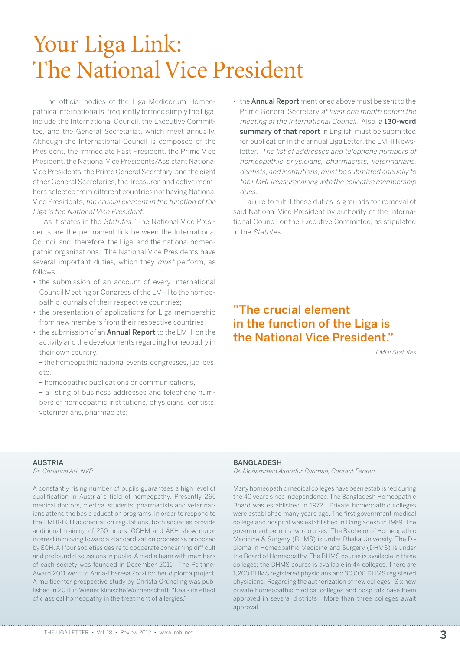# Your Liga Link: The National Vice President

The official bodies of the Liga Medicorum Homeopathica Internationalis, frequently termed simply the Liga, include the International Council, the Executive Committee, and the General Secretariat, which meet annually. Although the International Council is composed of the President, the Immediate Past President, the Prime Vice President, the National Vice Presidents/Assistant National Vice Presidents, the Prime General Secretary, and the eight other General Secretaries, the Treasurer, and active members selected from different countries not having National Vice Presidents, the crucial element in the function of the Liga is the National Vice President.

As it states in the Statutes, 'The National Vice Presidents are the permanent link between the International Council and, therefore, the Liga, and the national homeopathic organizations. The National Vice Presidents have several important duties, which they must perform, as follows:

- the submission of an account of every International Council Meeting or Congress of the LMHI to the homeopathic journals of their respective countries;
- the presentation of applications for Liga membership from new members from their respective countries;
- the submission of an **Annual Report** to the LMHI on the activity and the developments regarding homeopathy in their own country,

– the homeopathic national events, congresses, jubilees, etc.,

– homeopathic publications or communications,

– a listing of business addresses and telephone numbers of homeopathic institutions, physicians, dentists, veterinarians, pharmacists;

• the **Annual Report** mentioned above must be sent to the Prime General Secretary at least one month before the meeting of the International Council. Also, a 130-word summary of that report in English must be submitted for publication in the annual Liga Letter, the LMHI Newsletter. The list of addresses and telephone numbers of homeopathic physicians, pharmacists, veterinarians, dentists, and institutions, must be submitted annually to the LMHI Treasurer along with the collective membership dues.

Failure to fulfill these duties is grounds for removal of said National Vice President by authority of the International Council or the Executive Committee, as stipulated in the Statutes.

# "The crucial element in the function of the Liga is the National Vice President."

LMHI Statutes

## **AUSTRIA**

Dr. Christina Ari, NVP

A constantly rising number of pupils guarantees a high level of qualification in Austria´s field of homeopathy. Presently 265 medical doctors, medical students, pharmacists and veterinarians attend the basic education programs. In order to respond to the LMHI-ECH accreditation regulations, both societies provide additional training of 250 hours. ÖGHM and ÄKH show major interest in moving toward a standardization process as proposed by ECH. All four societies desire to cooperate concerning difficult and profound discussions in public. A media team with members of each society was founded in December 2011. The Peithner Award 2011 went to Anna-Theresa Zorzi for her diploma project. A multicenter prospective study by Christa Gründling was published in 2011 in Wiener klinische Wochenschrift: "Real-life effect of classical homeopathy in the treatment of allergies."

## Bangladesh

Dr. Mohammed Ashrafur Rahman, Contact Person

Many homeopathic medical colleges have been established during the 40 years since independence. The Bangladesh Homeopathic Board was established in 1972. Private homeopathic colleges were established many years ago. The first government medical college and hospital was established in Bangladesh in 1989. The government permits two courses. The Bachelor of Homeopathic Medicine & Surgery (BHMS) is under Dhaka University. The Diploma in Homeopathic Medicine and Surgery (DHMS) is under the Board of Homeopathy. The BHMS course is available in three colleges; the DHMS course is available in 44 colleges. There are 1,200 BHMS registered physicians and 30,000 DHMS registered physicians. Regarding the authorization of new colleges: Six new private homeopathic medical colleges and hospitals have been approved in several districts. More than three colleges await approval.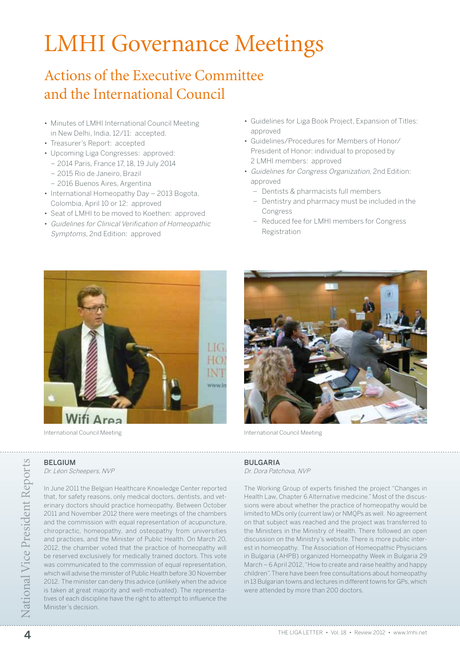# LMHI Governance Meetings

# Actions of the Executive Committee and the International Council

- Minutes of LMHI International Council Meeting in New Delhi, India, 12/11: accepted.
- Treasurer's Report: accepted
- Upcoming Liga Congresses: approved:
	- 2014 Paris, France 17, 18, 19 July 2014
	- 2015 Rio de Janeiro, Brazil
	- 2016 Buenos Aires, Argentina
- International Homeopathy Day 2013 Bogota, Colombia, April 10 or 12: approved
- Seat of LMHI to be moved to Koethen: approved
- Guidelines for Clinical Verification of Homeopathic Symptoms, 2nd Edition: approved
- Guidelines for Liga Book Project, Expansion of Titles: approved
- Guidelines/Procedures for Members of Honor/ President of Honor: individual to proposed by 2 LMHI members: approved
- Guidelines for Congress Organization, 2nd Edition: approved
	- Dentists & pharmacists full members
	- Dentistry and pharmacy must be included in the Congress
	- Reduced fee for LMHI members for Congress Registration



International Council Meeting **International Council Meeting International Council Meeting** 



## **BELGIUM**

Dr. Léon Scheepers, NVP

**BELGIUM**<br>  $D_L$ <br>  $D_L$ <br>  $D_L$ <br>  $D_L$ <br>  $D_R$ <br>  $D_R$ <br>  $D_R$ <br>  $D_R$ <br>  $D_R$ <br>  $D_R$ <br>  $D_R$ <br>  $D_R$ <br>  $D_R$ <br>  $D_R$ <br>  $D_R$ <br>  $D_R$ <br>  $D_R$ <br>  $D_R$ <br>  $D_R$ <br>  $D_R$ <br>  $D_R$ <br>  $D_R$ <br>  $D_R$ <br>  $D_R$ <br>  $D_R$ <br>  $D_R$ <br>  $D_R$ <br>  $D_R$ <br>  $D_R$ <br>  $D_R$ <br>  $D_R$ <br>  $D_R$ <br>  $D_R$ <br>  $D_R$ <br>  $D_R$ <br> that, for safety reasons, only medical doctors, dentists, and veterinary doctors should practice homeopathy. Between October 2011 and November 2012 there were meetings of the chambers and the commission with equal representation of acupuncture, chiropractic, homeopathy, and osteopathy from universities and practices, and the Minister of Public Health. On March 20, 2012, the chamber voted that the practice of homeopathy will be reserved exclusively for medically trained doctors. This vote was communicated to the commission of equal representation, which will advise the minister of Public Health before 30 November 2012. The minister can deny this advice (unlikely when the advice is taken at great majority and well-motivated). The representatives of each discipline have the right to attempt to influence the Minister's decision.

In June 2011 the Belgian Healthcare Knowledge Center reported

## **BULGARIA**

Dr. Dora Patchova, NVP

The Working Group of experts finished the project "Changes in Health Law, Chapter 6 Alternative medicine." Most of the discussions were about whether the practice of homeopathy would be limited to MDs only (current law) or NMQPs as well. No agreement on that subject was reached and the project was transferred to the Ministers in the Ministry of Health. There followed an open discussion on the Ministry's website. There is more public interest in homeopathy. The Association of Homeopathic Physicians in Bulgaria (AHPB) organized Homeopathy Week in Bulgaria 29 March – 6 April 2012, "How to create and raise healthy and happy children". There have been free consultations about homeopathy in 13 Bulgarian towns and lectures in different towns for GPs, which were attended by more than 200 doctors.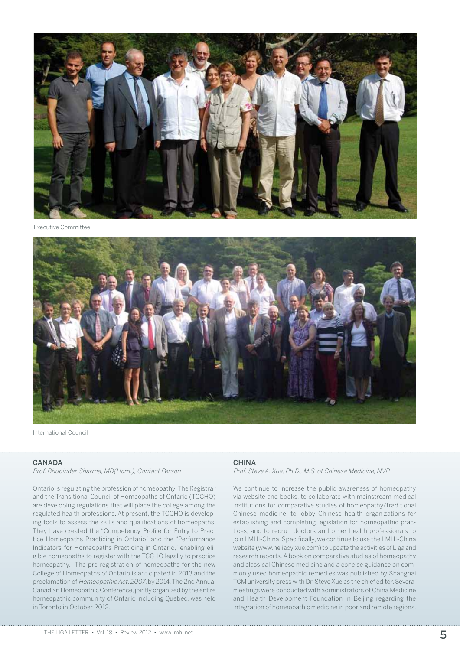

Executive Committee



International Council

#### **CANADA**

Prof. Bhupinder Sharma, MD(Hom.), Contact Person

Ontario is regulating the profession of homeopathy. The Registrar and the Transitional Council of Homeopaths of Ontario (TCCHO) are developing regulations that will place the college among the regulated health professions. At present, the TCCHO is developing tools to assess the skills and qualifications of homeopaths. They have created the "Competency Profile for Entry to Practice Homeopaths Practicing in Ontario" and the "Performance Indicators for Homeopaths Practicing in Ontario," enabling eligible homeopaths to register with the TCCHO legally to practice homeopathy. The pre-registration of homeopaths for the new College of Homeopaths of Ontario is anticipated in 2013 and the proclamation of Homeopathic Act, 2007, by 2014. The 2nd Annual Canadian Homeopathic Conference, jointly organized by the entire homeopathic community of Ontario including Quebec, was held in Toronto in October 2012.

#### **CHINA**

Prof. Steve A. Xue, Ph.D., M.S. of Chinese Medicine, NVP

We continue to increase the public awareness of homeopathy via website and books, to collaborate with mainstream medical institutions for comparative studies of homeopathy/traditional Chinese medicine, to lobby Chinese health organizations for establishing and completing legislation for homeopathic practices, and to recruit doctors and other health professionals to join LMHI-China. Specifically, we continue to use the LMHI-China website (www.heliaoyixue.com) to update the activities of Liga and research reports. A book on comparative studies of homeopathy and classical Chinese medicine and a concise guidance on commonly used homeopathic remedies was published by Shanghai TCM university press with Dr. Steve Xue as the chief editor. Several meetings were conducted with administrators of China Medicine and Health Development Foundation in Beijing regarding the integration of homeopathic medicine in poor and remote regions.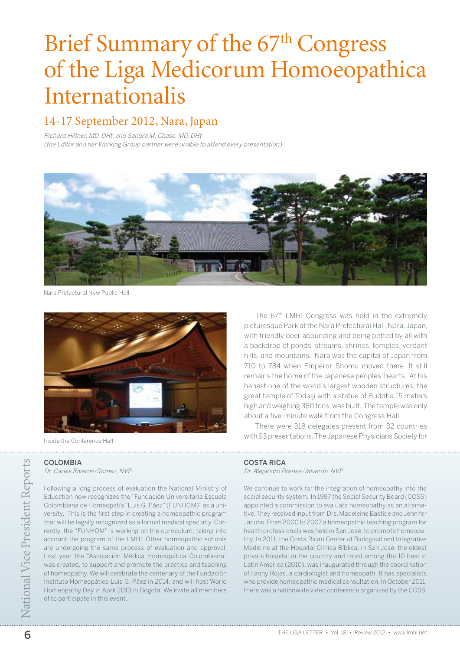# Brief Summary of the 67<sup>th</sup> Congress of the Liga Medicorum Homoeopathica Internationalis

# 14-17 September 2012, Nara, Japan

Richard Hiltner, MD, DHt, and Sandra M. Chase, MD, DHt (the Editor and her Working Group partner were unable to attend every presentation)



Nara Prefectural New Public Hall



Inside the Conference Hall

. . . . . . . . . . . . .

## COLOMBIA

Dr. Carles Riveros-Gomez, NVP

**EXECUTER • COLOMBIA**<br>
Excelse Riveros-Gomez, MVP<br>
Following a long process of evaluation the National Ministry of<br>
Following a long process of evaluation Universitaria Escuela<br>
Following a long process of evaluation Unive Following a long process of evaluation the National Ministry of Education now recognizes the "Fundación Universitaria Escuela Colombiana de Homeopatía "Luis G. Páez" (FUNHOM)" as a university. This is the first step in creating a homeopathic program that will be legally recognized as a formal medical specialty. Currently, the "FUNHOM" is working on the curriculum, taking into account the program of the LMHI. Other homeopathic schools are undergoing the same process of evaluation and approval. Last year the "Asociación Médica Homeopática Colombiana" was created, to support and promote the practice and teaching of homeopathy. We will celebrate the centenary of the Fundación Instituto Homeopático Luis G. Páez in 2014, and will host World Homeopathy Day in April 2013 in Bogota. We invite all members of to participate in this event.

The 67th LMHI Congress was held in the extremely picturesque Park at the Nara Prefectural Hall, Nara, Japan, with friendly deer abounding and being petted by all with a backdrop of ponds, streams, shrines, temples, verdant hills, and mountains. Nara was the capital of Japan from 710 to 784 when Emperor Shomu moved there. It still remains the home of the Japanese peoples' hearts. At his behest one of the world's largest wooden structures, the great temple of Todaiji with a statue of Buddha 15 meters high and weighing 360 tons, was built. The temple was only about a five-minute walk from the Congress Hall.

There were 318 delegates present from 32 countries with 93 presentations. The Japanese Physicians Society for

## Costa Rica

Dr. Alejandro Brenes-Valverde, NVP

We continue to work for the integration of homeopathy into the social security system. In 1997 the Social Security Board (CCSS) appointed a commission to evaluate homeopathy as an alternative. They received input from Drs. Madeleine Bastide and Jennifer Jacobs. From 2000 to 2007 a homeopathic teaching program for health professionals was held in San José, to promote homeopathy. In 2011, the Costa Rican Center of Biological and Integrative Medicine at the Hospital Clínica Bíblica, in San José, the oldest private hospital in the country and rated among the 10 best in Latin America (2010), was inaugurated through the coordination of Fanny Rojas, a cardiologist and homeopath. It has specialists who provide homeopathic medical consultation. In October 2011, there was a nationwide video conference organized by the CCSS.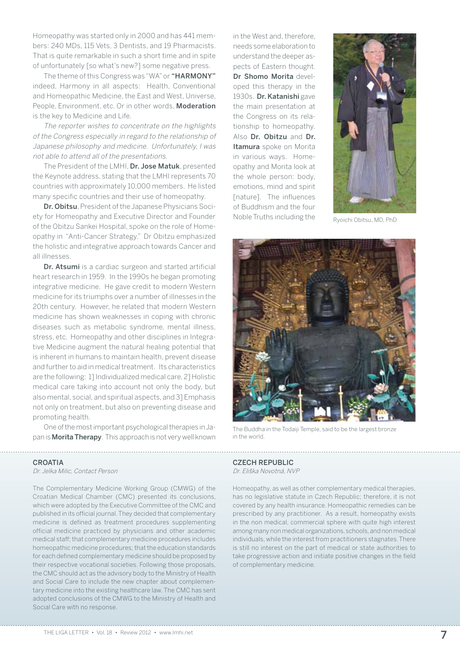Homeopathy was started only in 2000 and has 441 members: 240 MDs, 115 Vets, 3 Dentists, and 19 Pharmacists. That is quite remarkable in such a short time and in spite of unfortunately [so what's new?] some negative press.

The theme of this Congress was "WA" or "HARMONY" indeed, Harmony in all aspects: Health, Conventional and Homeopathic Medicine, the East and West, Universe, People, Environment, etc. Or in other words, Moderation is the key to Medicine and Life.

The reporter wishes to concentrate on the highlights of the Congress especially in regard to the relationship of Japanese philosophy and medicine. Unfortunately, I was not able to attend all of the presentations.

The President of the LMHI, Dr. Jose Matuk, presented the Keynote address, stating that the LMHI represents 70 countries with approximately 10,000 members. He listed many specific countries and their use of homeopathy.

Dr. Obitsu, President of the Japanese Physicians Society for Homeopathy and Executive Director and Founder of the Obitzu Sankei Hospital, spoke on the role of Homeopathy in "Anti-Cancer Strategy." Dr Obitzu emphasized the holistic and integrative approach towards Cancer and all illnesses.

Dr. Atsumi is a cardiac surgeon and started artificial heart research in 1959. In the 1990s he began promoting integrative medicine. He gave credit to modern Western medicine for its triumphs over a number of illnesses in the 20th century. However, he related that modern Western medicine has shown weaknesses in coping with chronic diseases such as metabolic syndrome, mental illness, stress, etc. Homeopathy and other disciplines in Integrative Medicine augment the natural healing potential that is inherent in humans to maintain health, prevent disease and further to aid in medical treatment. Its characteristics are the following: 1] Individualized medical care, 2] Holistic medical care taking into account not only the body, but also mental, social, and spiritual aspects, and 3] Emphasis not only on treatment, but also on preventing disease and promoting health.

One of the most important psychological therapies in Japan is **Morita Therapy**. This approach is not very well known

### **CROATIA**

Dr. Jelka Milic, Contact Person

The Complementary Medicine Working Group (CMWG) of the Croatian Medical Chamber (CMC) presented its conclusions, which were adopted by the Executive Committee of the CMC and published in its official journal. They decided that complementary medicine is defined as treatment procedures supplementing official medicine practiced by physicians and other academic medical staff; that complementary medicine procedures includes homeopathic medicine procedures; that the education standards for each defined complementary medicine should be proposed by their respective vocational societies. Following those proposals, the CMC should act as the advisory body to the Ministry of Health and Social Care to include the new chapter about complementary medicine into the existing healthcare law. The CMC has sent adopted conclusions of the CMWG to the Ministry of Health and Social Care with no response.

in the West and, therefore, needs some elaboration to understand the deeper aspects of Eastern thought. Dr Shomo Morita developed this therapy in the 1930s. Dr. Katanishi gave the main presentation at the Congress on its relationship to homeopathy. Also Dr. Obitzu and Dr. Itamura spoke on Morita in various ways. Homeopathy and Morita look at the whole person: body, emotions, mind and spirit [nature]. The influences of Buddhism and the four Noble Truths including the Ryoichi Obitsu, MD, PhD





The Buddha in the Todaiji Temple, said to be the largest bronze in the world.

## Czech Republic

Dr. Eliška Novotná, NVP

Homeopathy, as well as other complementary medical therapies, has no legislative statute in Czech Republic; therefore, it is not covered by any health insurance. Homeopathic remedies can be prescribed by any practitioner. As a result, homeopathy exists in the non medical, commercial sphere with quite high interest among many non medical organizations, schools, and non medical individuals, while the interest from practitioners stagnates. There is still no interest on the part of medical or state authorities to take progressive action and initiate positive changes in the field of complementary medicine.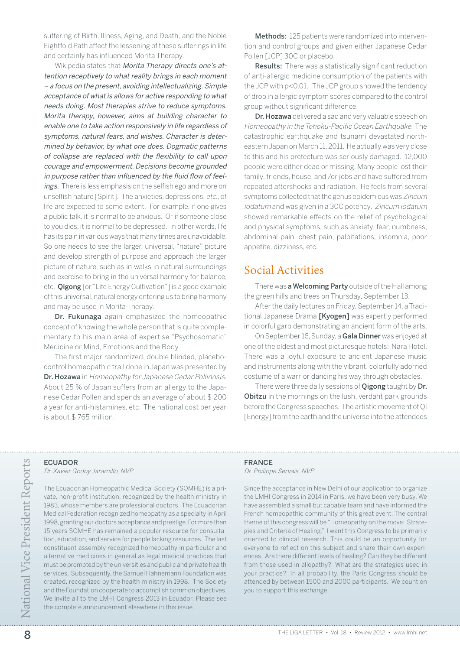suffering of Birth, Illness, Aging, and Death, and the Noble Eightfold Path affect the lessening of these sufferings in life and certainly has influenced Morita Therapy.

Wikipedia states that Morita Therapy directs one's attention receptively to what reality brings in each moment – a focus on the present, avoiding intellectualizing. Simple acceptance of what is allows for active responding to what needs doing. Most therapies strive to reduce symptoms. Morita therapy, however, aims at building character to enable one to take action responsively in life regardless of symptoms, natural fears, and wishes. Character is determined by behavior, by what one does. Dogmatic patterns of collapse are replaced with the flexibility to call upon courage and empowerment. Decisions become grounded in purpose rather than influenced by the fluid flow of feelings. There is less emphasis on the selfish ego and more on unselfish nature [Spirit]. The anxieties, depressions, etc., of life are expected to some extent. For example, if one gives a public talk, it is normal to be anxious. Or if someone close to you dies, it is normal to be depressed. In other words, life has its pain in various ways that many times are unavoidable. So one needs to see the larger, universal, "nature" picture and develop strength of purpose and approach the larger picture of nature, such as in walks in natural surroundings and exercise to bring in the universal harmony for balance, etc. **Qigong** [or "Life Energy Cultivation"] is a good example of this universal, natural energy entering us to bring harmony and may be used in Morita Therapy.

Dr. Fukunaga again emphasized the homeopathic concept of knowing the whole person that is quite complementary to his main area of expertise "Psychosomatic" Medicine or Mind, Emotions and the Body.

The first major randomized, double blinded, placebocontrol homeopathic trail done in Japan was presented by Dr. Hozawa in Homeopathy for Japanese Cedar Pollinosis. About 25 % of Japan suffers from an allergy to the Japanese Cedar Pollen and spends an average of about \$ 200 a year for anti-histamines, etc. The national cost per year is about \$ 765 million.

Methods: 125 patients were randomized into intervention and control groups and given either Japanese Cedar Pollen [JCP] 30C or placebo.

**Results:** There was a statistically significant reduction of anti-allergic medicine consumption of the patients with the JCP with p<0.01. The JCP group showed the tendency of drop in allergic symptom scores compared to the control group without significant difference.

Dr. Hozawa delivered a sad and very valuable speech on Homeopathy in the Tohoku-Pacific Ocean Earthquake. The catastrophic earthquake and tsunami devastated northeastern Japan on March 11, 2011. He actually was very close to this and his prefecture was seriously damaged. 12,000 people were either dead or missing. Many people lost their family, friends, house, and /or jobs and have suffered from repeated aftershocks and radiation. He feels from several symptoms collected that the genus epidemicus was Zincum iodatum and was given in a 30C potency. Zincum iodatum showed remarkable effects on the relief of psychological and physical symptoms, such as anxiety, fear, numbness, abdominal pain, chest pain, palpitations, insomnia, poor appetite, dizziness, etc.

## Social Activities

There was a Welcoming Party outside of the Hall among the green hills and trees on Thursday, September 13.

After the daily lectures on Friday, September 14, a Traditional Japanese Drama [Kyogen] was expertly performed in colorful garb demonstrating an ancient form of the arts.

On September 16, Sunday, a Gala Dinner was enjoyed at one of the oldest and most picturesque hotels: Nara Hotel. There was a joyful exposure to ancient Japanese music and instruments along with the vibrant, colorfully adorned costume of a warrior dancing his way through obstacles.

There were three daily sessions of **Qigong** taught by Dr. **Obitzu** in the mornings on the lush, verdant park grounds before the Congress speeches. The artistic movement of Qi [Energy] from the earth and the universe into the attendees

## **ECUADOR**

. . . . . . . .

Dr. Xavier Godoy Jaramillo, NVP

ECUADOR<br> *D. Kavier Godoy Jaramillo, NVP*<br> *D. Axier Cuadorian* Homeopathic Medical Society (SOMHE) is a pri-<br>
The Technology Servais, NVP<br>
1983, whose members are professional dactors, The Ecuadorian<br>
1983, whose members The Ecuadorian Homeopathic Medical Society (SOMHE) is a private, non-profit institution, recognized by the health ministry in 1983, whose members are professional doctors. The Ecuadorian Medical Federation recognized homeopathy as a specialty in April 1998, granting our doctors acceptance and prestige. For more than 15 years SOMHE has remained a popular resource for consultation, education, and service for people lacking resources. The last constituent assembly recognized homeopathy in particular and alternative medicines in general as legal medical practices that must be promoted by the universities and public and private health services. Subsequently, the Samuel Hahnemann Foundation was created, recognized by the health ministry in 1998. The Society and the Foundation cooperate to accomplish common objectives. We invite all to the LMHI Congress 2013 in Ecuador. Please see the complete announcement elsewhere in this issue.

## **FRANCE**

Dr. Philippe Servais, NVP

Since the acceptance in New Delhi of our application to organize the LMHI Congress in 2014 in Paris, we have been very busy. We have assembled a small but capable team and have informed the French homeopathic community of this great event. The central theme of this congress will be "Homeopathy on the move: Strategies and Criteria of Healing." I want this Congress to be primarily oriented to clinical research. This could be an opportunity for everyone to reflect on this subject and share their own experiences. Are there different levels of healing? Can they be different from those used in allopathy? What are the strategies used in your practice? In all probability, the Paris Congress should be attended by between 1500 and 2000 participants. We count on you to support this exchange.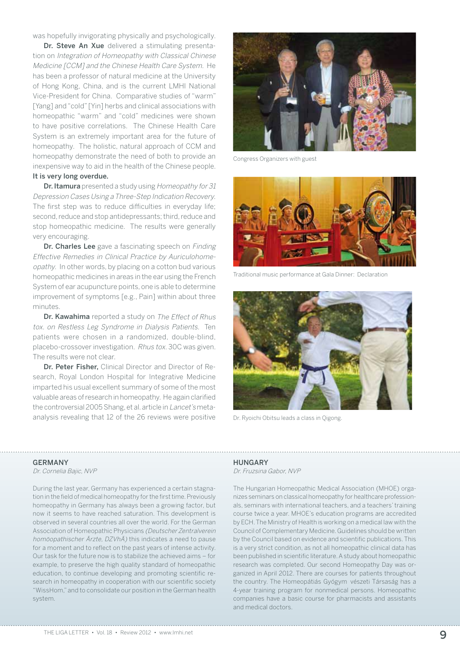was hopefully invigorating physically and psychologically.

Dr. Steve An Xue delivered a stimulating presentation on Integration of Homeopathy with Classical Chinese Medicine [CCM] and the Chinese Health Care System. He has been a professor of natural medicine at the University of Hong Kong, China, and is the current LMHI National Vice-President for China. Comparative studies of "warm" [Yang] and "cold" [Yin] herbs and clinical associations with homeopathic "warm" and "cold" medicines were shown to have positive correlations. The Chinese Health Care System is an extremely important area for the future of homeopathy. The holistic, natural approach of CCM and homeopathy demonstrate the need of both to provide an inexpensive way to aid in the health of the Chinese people. It is very long overdue.

Dr. Itamura presented a study using Homeopathy for 31 Depression Cases Using a Three-Step Indication Recovery. The first step was to reduce difficulties in everyday life; second, reduce and stop antidepressants; third, reduce and stop homeopathic medicine. The results were generally very encouraging.

Dr. Charles Lee gave a fascinating speech on Finding Effective Remedies in Clinical Practice by Auriculohomeopathy. In other words, by placing on a cotton bud various homeopathic medicines in areas in the ear using the French System of ear acupuncture points, one is able to determine improvement of symptoms [e.g., Pain] within about three minutes.

Dr. Kawahima reported a study on The Effect of Rhus tox. on Restless Leg Syndrome in Dialysis Patients. Ten patients were chosen in a randomized, double-blind, placebo-crossover investigation. Rhus tox. 30C was given. The results were not clear.

Dr. Peter Fisher, Clinical Director and Director of Research, Royal London Hospital for Integrative Medicine imparted his usual excellent summary of some of the most valuable areas of research in homeopathy. He again clarified the controversial 2005 Shang, et al. article in Lancet's metaanalysis revealing that 12 of the 26 reviews were positive Dr. Ryoichi Obitsu leads a class in Qigong.



Congress Organizers with guest



Traditional music performance at Gala Dinner: Declaration



#### **GERMANY**

Dr. Cornelia Bajic, NVP

During the last year, Germany has experienced a certain stagnation in the field of medical homeopathy for the first time. Previously homeopathy in Germany has always been a growing factor, but now it seems to have reached saturation. This development is observed in several countries all over the world. For the German Association of Homeopathic Physicians (Deutscher Zentralverein homöopathischer Ärzte, DZVhÄ) this indicates a need to pause for a moment and to reflect on the past years of intense activity. Our task for the future now is to stabilize the achieved aims – for example, to preserve the high quality standard of homeopathic education, to continue developing and promoting scientific research in homeopathy in cooperation with our scientific society "WissHom," and to consolidate our position in the German health system.

## **HUNGARY**

Dr. Fruzsina Gabor, NVP

The Hungarian Homeopathic Medical Association (MHOE) organizes seminars on classical homeopathy for healthcare professionals, seminars with international teachers, and a teachers' training course twice a year. MHOE's education programs are accredited by ECH. The Ministry of Health is working on a medical law with the Council of Complementary Medicine. Guidelines should be written by the Council based on evidence and scientific publications. This is a very strict condition, as not all homeopathic clinical data has been published in scientific literature. A study about homeopathic research was completed. Our second Homeopathy Day was organized in April 2012. There are courses for patients throughout the country. The Homeopátiás Gyógym vészeti Társaság has a 4-year training program for nonmedical persons. Homeopathic companies have a basic course for pharmacists and assistants and medical doctors.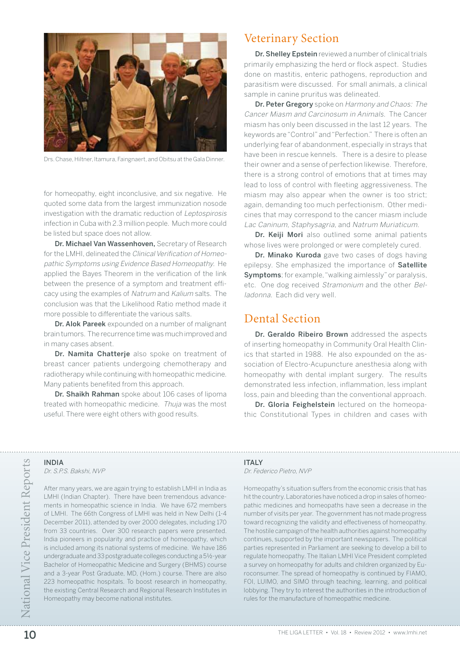

Drs. Chase, Hiltner, Itamura, Faingnaert, and Obitsu at the Gala Dinner.

for homeopathy, eight inconclusive, and six negative. He quoted some data from the largest immunization nosode investigation with the dramatic reduction of Leptospirosis infection in Cuba with 2.3 million people. Much more could be listed but space does not allow.

Dr. Michael Van Wassenhoven, Secretary of Research for the LMHI, delineated the Clinical Verification of Homeopathic Symptoms using Evidence Based Homeopathy. He applied the Bayes Theorem in the verification of the link between the presence of a symptom and treatment efficacy using the examples of Natrum and Kalium salts. The conclusion was that the Likelihood Ratio method made it more possible to differentiate the various salts.

Dr. Alok Pareek expounded on a number of malignant brain tumors. The recurrence time was much improved and in many cases absent.

Dr. Namita Chatterje also spoke on treatment of breast cancer patients undergoing chemotherapy and radiotherapy while continuing with homeopathic medicine. Many patients benefited from this approach.

Dr. Shaikh Rahman spoke about 106 cases of lipoma treated with homeopathic medicine. Thuja was the most useful. There were eight others with good results.

## Veterinary Section

Dr. Shelley Epstein reviewed a number of clinical trials primarily emphasizing the herd or flock aspect. Studies done on mastitis, enteric pathogens, reproduction and parasitism were discussed. For small animals, a clinical sample in canine pruritus was delineated.

Dr. Peter Gregory spoke on Harmony and Chaos: The Cancer Miasm and Carcinosum in Animals. The Cancer miasm has only been discussed in the last 12 years. The keywords are "Control" and "Perfection." There is often an underlying fear of abandonment, especially in strays that have been in rescue kennels. There is a desire to please their owner and a sense of perfection likewise. Therefore, there is a strong control of emotions that at times may lead to loss of control with fleeting aggressiveness. The miasm may also appear when the owner is too strict; again, demanding too much perfectionism. Other medicines that may correspond to the cancer miasm include Lac Caninum, Staphysagria, and Natrum Muriaticum.

Dr. Keiji Mori also outlined some animal patients whose lives were prolonged or were completely cured.

Dr. Minako Kuroda gave two cases of dogs having epilepsy. She emphasized the importance of Satellite Symptoms; for example, "walking aimlessly" or paralysis, etc. One dog received Stramonium and the other Belladonna. Each did very well.

## Dental Section

Dr. Geraldo Ribeiro Brown addressed the aspects of inserting homeopathy in Community Oral Health Clinics that started in 1988. He also expounded on the association of Electro-Acupuncture anesthesia along with homeopathy with dental implant surgery. The results demonstrated less infection, inflammation, less implant loss, pain and bleeding than the conventional approach.

Dr. Gloria Feighelstein lectured on the homeopathic Constitutional Types in children and cases with

**INDIA** 

Dr. S.P.S. Bakshi, NVP

After many years, we are again trying to establish LMHI in India as LMHI (Indian Chapter). There have been tremendous advancements in homeopathic science in India. We have 672 members of LMHI. The 66th Congress of LMHI was held in New Delhi (1-4 December 2011), attended by over 2000 delegates, including 170 from 33 countries. Over 300 research papers were presented. India pioneers in popularity and practice of homeopathy, which is included among its national systems of medicine. We have 186 undergraduate and 33 postgraduate colleges conducting a 5½-year Bachelor of Homeopathic Medicine and Surgery (BHMS) course and a 3-year Post Graduate, MD, (Hom.) course. There are also 223 homeopathic hospitals. To boost research in homeopathy, the existing Central Research and Regional Research Institutes in Homeopathy may become national institutes.

## **ITAIY**

Dr. Federico Pietro, NVP

11 THALY<br>
20 TEMP<br>
20 After many years, we are again trying to establish LMH in India as<br>
11 Million suffers from the economic crisis that has<br>
10 MH (Indian Chapter). There have been tremendous advance-<br>
11 MH (Indian Cha Homeopathy's situation suffers from the economic crisis that has hit the country. Laboratories have noticed a drop in sales of homeopathic medicines and homeopaths have seen a decrease in the number of visits per year. The government has not made progress toward recognizing the validity and effectiveness of homeopathy. The hostile campaign of the health authorities against homeopathy continues, supported by the important newspapers. The political parties represented in Parliament are seeking to develop a bill to regulate homeopathy. The Italian LMHI Vice President completed a survey on homeopathy for adults and children organized by Euroconsumer. The spread of homeopathy is continued by FIAMO, FOI, LUIMO, and SIMO through teaching, learning, and political lobbying. They try to interest the authorities in the introduction of rules for the manufacture of homeopathic medicine.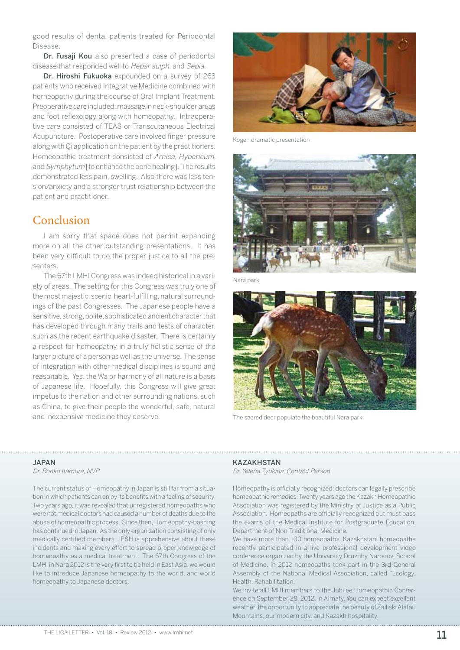good results of dental patients treated for Periodontal Disease.

Dr. Fusaji Kou also presented a case of periodontal disease that responded well to Hepar sulph. and Sepia.

Dr. Hiroshi Fukuoka expounded on a survey of 263 patients who received Integrative Medicine combined with homeopathy during the course of Oral Implant Treatment. Preoperative care included: massage in neck-shoulder areas and foot reflexology along with homeopathy. Intraoperative care consisted of TEAS or Transcutaneous Electrical Acupuncture. Postoperative care involved finger pressure along with Qi application on the patient by the practitioners. Homeopathic treatment consisted of Arnica, Hypericum, and Symphytum [to enhance the bone healing]. The results demonstrated less pain, swelling. Also there was less tension/anxiety and a stronger trust relationship between the patient and practitioner.

# Conclusion

I am sorry that space does not permit expanding more on all the other outstanding presentations. It has been very difficult to do the proper justice to all the presenters.

The 67th LMHI Congress was indeed historical in a variety of areas. The setting for this Congress was truly one of the most majestic, scenic, heart-fulfilling, natural surroundings of the past Congresses. The Japanese people have a sensitive, strong, polite, sophisticated ancient character that has developed through many trails and tests of character, such as the recent earthquake disaster. There is certainly a respect for homeopathy in a truly holistic sense of the larger picture of a person as well as the universe. The sense of integration with other medical disciplines is sound and reasonable. Yes, the Wa or harmony of all nature is a basis of Japanese life. Hopefully, this Congress will give great impetus to the nation and other surrounding nations, such as China, to give their people the wonderful, safe, natural and inexpensive medicine they deserve. The sacred deer populate the beautiful Nara park.



Kogen dramatic presentation



Nara park



### Japan

Dr. Ronko Itamura, NVP

The current status of Homeopathy in Japan is still far from a situation in which patients can enjoy its benefits with a feeling of security. Two years ago, it was revealed that unregistered homeopaths who were not medical doctors had caused a number of deaths due to the abuse of homeopathic process. Since then, Homeopathy-bashing has continued in Japan. As the only organization consisting of only medically certified members, JPSH is apprehensive about these incidents and making every effort to spread proper knowledge of homeopathy as a medical treatment. The 67th Congress of the LMHI in Nara 2012 is the very first to be held in East Asia, we would like to introduce Japanese homeopathy to the world, and world homeopathy to Japanese doctors.

### **KAZAKHSTAN**

Dr. Yelena Zyukina, Contact Person

Homeopathy is officially recognized; doctors can legally prescribe homeopathic remedies. Twenty years ago the Kazakh Homeopathic Association was registered by the Ministry of Justice as a Public Association. Homeopaths are officially recognized but must pass the exams of the Medical Institute for Postgraduate Education, Department of Non-Traditional Medicine.

We have more than 100 homeopaths. Kazakhstani homeopaths recently participated in a live professional development video conference organized by the University Druzhby Narodov, School of Medicine. In 2012 homeopaths took part in the 3rd General Assembly of the National Medical Association, called "Ecology, Health, Rehabilitation."

We invite all LMHI members to the Jubilee Homeopathic Conference on September 28, 2012, in Almaty. You can expect excellent weather, the opportunity to appreciate the beauty of Zailiski Alatau Mountains, our modern city, and Kazakh hospitality.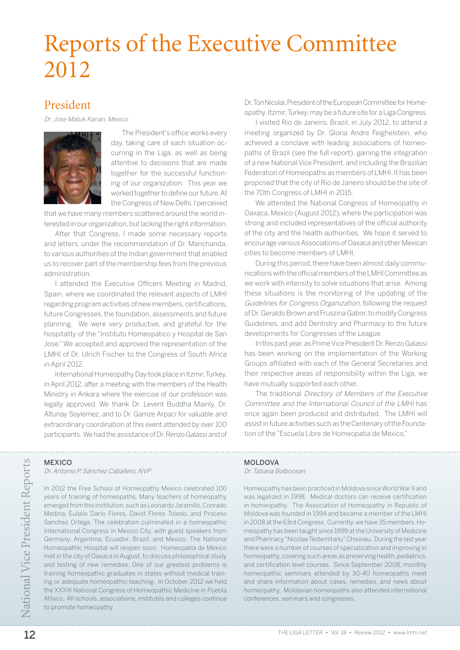# Reports of the Executive Committee 2012

## President

Dr. Jose Matuk Kanan, Mexico



The President's office works every day, taking care of each situation occurring in the Liga, as well as being attentive to decisions that are made together for the successful functioning of our organization. This year we worked together to define our future. At the Congress of New Delhi, I perceived

that we have many members scattered around the world interested in our organization, but lacking the right information.

After that Congress, I made some necessary reports and letters, under the recommendation of Dr. Manchanda, to various authorities of the Indian government that enabled us to recover part of the membership fees from the previous administration.

I attended the Executive Officers Meeting in Madrid, Spain, where we coordinated the relevant aspects of LMHI regarding program activities of new members, certifications, future Congresses, the foundation, assessments and future planning. We were very productive, and grateful for the hospitality of the "Instituto Homeopatico y Hospital de San Jose." We accepted and approved the representation of the LMHI of Dr. Ulrich Fischer to the Congress of South Africa in April 2012.

International Homeopathy Day took place in Itzmir, Turkey, in April 2012, after a meeting with the members of the Health Ministry in Ankara where the exercise of our profession was legally approved. We thank Dr. Levent Buddha Mainly, Dr. Altunay Soylemez, and to Dr. Gamze Arpaci for valuable and extraordinary coordination at this event attended by over 100 participants. We had the assistance of Dr. Renzo Galassi and of

**MEXICO** 

Dr. Antonio P. Sánchez Caballero, NVP

THE DISON MEXICO *DRA MOLDOVA*<br> *DRA Antonio P. Sánchez Caballero, NYP*<br>
11 2002 *DR. Antonio P. Sánchez Caballero, NYP*<br>
11 2002 *DR* Free School of Homeopaths. Many teachers of homeopathy<br>
12 was legalized in 1998. Med In 2012 the Free School of Homeopathy Mexico celebrated 100 years of training of homeopaths. Many teachers of homeopathy emerged from this institution, such as Leonardo Jaramillo, Conrado Medina, Eulalio Dario Flores, David Flores Toledo, and Proceso Sanchez Ortega. The celebration culminated in a homeopathic International Congress in Mexico City, with guest speakers from Germany, Argentina, Ecuador, Brazil, and Mexico. The National Homeopathic Hospital will reopen soon. Homeopatía de Mexico met in the city of Oaxaca in August, to discuss philosophical study and testing of new remedies. One of our greatest problems is training homeopathic graduates in states without medical training or adequate homeopathic teaching. In October 2012 we held the XXXIII National Congress of Homeopathic Medicine in Puebla Atlixco. All schools, associations, institutes and colleges continue to promote homeopathy.

Dr. Ton Nicolai, President of the European Committee for Homeopathy. Itzmir, Turkey, may be a future site for a Liga Congress.

I visited Rio de Janeiro, Brazil, in July 2012, to attend a meeting organized by Dr. Gloria Andre Feighelstein, who achieved a conclave with leading associations of homeopaths of Brazil (see the full report), gaining the integration of a new National Vice President, and including the Brazilian Federation of Homeopaths as members of LMHI. It has been proposed that the city of Rio de Janeiro should be the site of the 70th Congress of LMHI in 2015.

We attended the National Congress of Homeopathy in Oaxaca, Mexico (August 2012), where the participation was strong and included representatives of the official authority of the city and the health authorities. We hope it served to encourage various Associations of Oaxaca and other Mexican cities to become members of LMHI.

During this period, there have been almost daily communications with the official members of the LMHI Committee as we work with intensity to solve situations that arise. Among these situations is the monitoring of the updating of the Guidelines for Congress Organization, following the request of Dr. Geraldo Brown and Fruszina Gabor, to modify Congress Guidelines, and add Dentistry and Pharmacy to the future developments for Congresses of the League.

In this past year, as Prime Vice President Dr. Renzo Galassi has been working on the implementation of the Working Groups affiliated with each of the General Secretaries and their respective areas of responsibility within the Liga, we have mutually supported each other.

The traditional Directory of Members of the Executive Committee and the International Council of the LMHI has once again been produced and distributed. The LMHI will assist in future activities such as the Centenary of the Foundation of the "Escuela Libre de Homeopatia de Mexico,"

## MOI DOVA

Dr. Tatiana Bolbocean

Homeopathy has been practiced in Moldova since World War II and was legalized in 1998. Medical doctors can receive certification in homeopathy. The Association of Homeopathy in Republic of Moldova was founded in 1994 and became a member of the LMHI in 2008 at the 63rd Congress. Currently, we have 35 members. Homeopathy has been taught since 1999 at the University of Medicine and Pharmacy "Nicolae Testemitanu" Chisinau. During the last year there were a number of courses of specialization and improving in homeopathy, covering such areas as preserving health, pediatrics, and certification level courses. Since September 2008, monthly homeopathic seminars attended by 30-40 homeopaths meet and share information about cases, remedies, and news about homeopathy. Moldavian homeopaths also attended international conferences, seminars and congresses.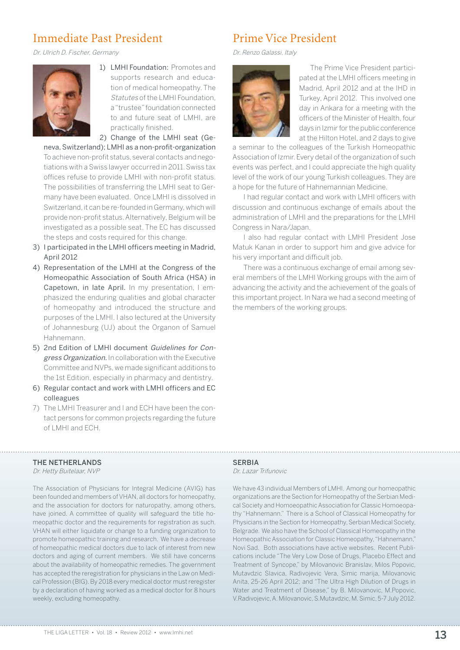# Immediate Past President

Dr. Ulrich D. Fischer, Germany



1) LMHI Foundation: Promotes and supports research and education of medical homeopathy. The Statutes of the LMHI Foundation, a "trustee" foundation connected to and future seat of LMHI, are practically finished.

2) Change of the LMHI seat (Ge-

neva, Switzerland); LMHI as a non-profit-organization To achieve non-profit status, several contacts and negotiations with a Swiss lawyer occurred in 2011. Swiss tax offices refuse to provide LMHI with non-profit status. The possibilities of transferring the LMHI seat to Germany have been evaluated. Once LMHI is dissolved in Switzerland, it can be re-founded in Germany, which will provide non-profit status. Alternatively, Belgium will be investigated as a possible seat. The EC has discussed the steps and costs required for this change.

- 3) I participated in the LMHI officers meeting in Madrid, April 2012
- 4) Representation of the LMHI at the Congress of the Homeopathic Association of South Africa (HSA) in Capetown, in late April. In my presentation, I emphasized the enduring qualities and global character of homeopathy and introduced the structure and purposes of the LMHI. I also lectured at the University of Johannesburg (UJ) about the Organon of Samuel Hahnemann.
- 5) 2nd Edition of LMHI document Guidelines for Congress Organization. In collaboration with the Executive Committee and NVPs, we made significant additions to the 1st Edition, especially in pharmacy and dentistry.
- 6) Regular contact and work with LMHI officers and EC colleagues
- 7) The LMHI Treasurer and I and ECH have been the contact persons for common projects regarding the future of LMHI and ECH.

# Prime Vice President

Dr. Renzo Galassi, Italy



The Prime Vice President participated at the LMHI officers meeting in Madrid, April 2012 and at the IHD in Turkey, April 2012. This involved one day in Ankara for a meeting with the officers of the Minister of Health, four days in Izmir for the public conference at the Hilton Hotel, and 2 days to give

a seminar to the colleagues of the Turkish Homeopathic Association of Izmir. Every detail of the organization of such events was perfect, and I could appreciate the high quality level of the work of our young Turkish colleagues. They are a hope for the future of Hahnemannian Medicine.

I had regular contact and work with LMHI officers with discussion and continuous exchange of emails about the administration of LMHI and the preparations for the LMHI Congress in Nara/Japan.

I also had regular contact with LMHI President Jose Matuk Kanan in order to support him and give advice for his very important and difficult job.

There was a continuous exchange of email among several members of the LMHI Working groups with the aim of advancing the activity and the achievement of the goals of this important project. In Nara we had a second meeting of the members of the working groups.

## The Netherlands

Dr. Hetty Buitelaar, NVP

The Association of Physicians for Integral Medicine (AVIG) has been founded and members of VHAN, all doctors for homeopathy, and the association for doctors for naturopathy, among others, have joined. A committee of quality will safeguard the title homeopathic doctor and the requirements for registration as such. VHAN will either liquidate or change to a funding organization to promote homeopathic training and research. We have a decrease of homeopathic medical doctors due to lack of interest from new doctors and aging of current members. We still have concerns about the availability of homeopathic remedies. The government has accepted the reregistration for physicians in the Law on Medical Profession (BIG). By 2018 every medical doctor must reregister by a declaration of having worked as a medical doctor for 8 hours weekly, excluding homeopathy.

**SERBIA** Dr. Lazar Trifunovic

We have 43 individual Members of LMHI. Among our homeopathic organizations are the Section for Homeopathy of the Serbian Medical Society and Homoeopathic Association for Classic Homoeopathy "Hahnemann." There is a School of Classical Homeopathy for Physicians in the Section for Homeopathy, Serbian Medical Society, Belgrade. We also have the School of Classical Homeopathy in the Homeopathic Association for Classic Homeopathy, "Hahnemann," Novi Sad. Both associations have active websites. Recent Publications include "The Very Low Dose of Drugs, Placebo Effect and Treatment of Syncope," by Milovanovic Branislav, Milos Popovic, Mutavdzic Slavica, Radivojevic Vera, Simic marija, Milovanovic Anita, 25-26 April 2012; and "The Ultra High Dilution of Drugs in Water and Treatment of Disease," by B. Milovanovic, M.Popovic, V.Radivojevic, A. Milovanovic, S.Mutavdzic, M. Simic, 5-7 July 2012.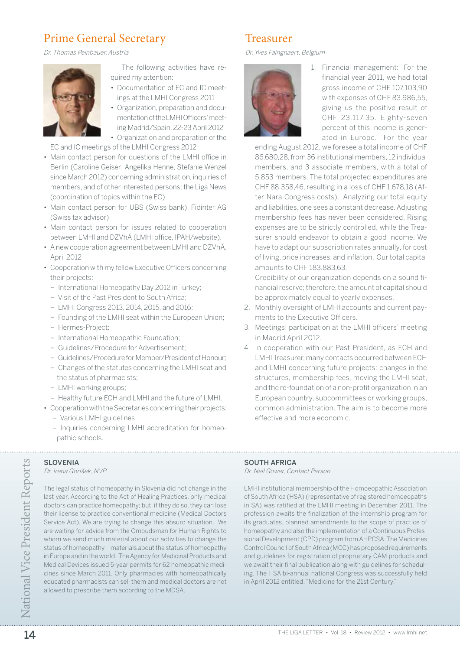# Prime General Secretary

Dr. Thomas Peinbauer, Austria



The following activities have required my attention:

- Documentation of EC and IC meetings at the LMHI Congress 2011
- Organization, preparation and documentation of the LMHI Officers' meeting Madrid/Spain, 22-23 April 2012 • Organization and preparation of the

EC and IC meetings of the LMHI Congress 2012

- Main contact person for questions of the LMHI office in Berlin (Caroline Geiser; Angelika Henne, Stefanie Wenzel since March 2012) concerning administration, inquiries of members, and of other interested persons; the Liga News (coordination of topics within the EC)
- Main contact person for UBS (Swiss bank), Fidinter AG (Swiss tax advisor)
- Main contact person for issues related to cooperation between LMHI and DZVhÄ (LMHI office, IPAH/website).
- A new cooperation agreement between LMHI and DZVhÄ, April 2012
- Cooperation with my fellow Executive Officers concerning their projects:
	- International Homeopathy Day 2012 in Turkey;
	- Visit of the Past President to South Africa;
	- LMHI Congress 2013, 2014, 2015, and 2016;
	- Founding of the LMHI seat within the European Union;
	- Hermes-Project;
	- International Homeopathic Foundation;
	- Guidelines/Procedure for Advertisement;
	- Guidelines/Procedure for Member/President of Honour;
	- Changes of the statutes concerning the LMHI seat and the status of pharmacists;
	- LMHI working groups;
	- Healthy future ECH and LMHI and the future of LMHI.
- Cooperation with the Secretaries concerning their projects: – Various LMHI guidelines
	- Inquiries concerning LMHI accreditation for homeopathic schools.

The legal status of homeopathy in Slovenia did not change in the last year. According to the Act of Healing Practices, only medical doctors can practice homeopathy; but, if they do so, they can lose their license to practice conventional medicine (Medical Doctors Service Act). We are trying to change this absurd situation. We are waiting for advice from the Ombudsman for Human Rights to whom we send much material about our activities to change the status of homeopathy—materials about the status of homeopathy in Europe and in the world. The Agency for Medicinal Products and Medical Devices issued 5-year permits for 62 homeopathic medicines since March 2011. Only pharmacies with homeopathically educated pharmacists can sell them and medical doctors are not

allowed to prescribe them according to the MDSA.

## SI OVENIA

Dr. Irena Gorišek, NVP

- - 2. Monthly oversight of LMHI accounts and current payments to the Executive Officers.
	- 3. Meetings: participation at the LMHI officers' meeting in Madrid April 2012.
	- 4. In cooperation with our Past President, as ECH and LMHI Treasurer, many contacts occurred between ECH and LMHI concerning future projects: changes in the structures, membership fees, moving the LMHI seat, and the re-foundation of a non-profit organization in an European country, subcommittees or working groups, common administration. The aim is to become more effective and more economic.

# SOUTH AFRICA

Dr. Neil Gower, Contact Person

14 SLOVENIA SOUTHI AFRICA SOUTHI AFRICA SOUTHING EVALUE AND SONTHAIRING THE USE CONSECT AND THE USE CONSECT THE REST AND THE USE AND THE USE AND THE USE A CONSECT THE REST AND THE USE AND THE USE AND THE USE AND THE USE AN LMHI institutional membership of the Homoeopathic Association of South Africa (HSA) (representative of registered homoeopaths in SA) was ratified at the LMHI meeting in December 2011. The profession awaits the finalization of the internship program for its graduates, planned amendments to the scope of practice of homeopathy and also the implementation of a Continuous Professional Development (CPD) program from AHPCSA. The Medicines Control Council of South Africa (MCC) has proposed requirements and guidelines for registration of proprietary CAM products and we await their final publication along with guidelines for scheduling. The HSA bi-annual national Congress was successfully held in April 2012 entitled, "Medicine for the 21st Century."

# Treasurer

Dr. Yves Faingnaert, Belgium



1. Financial management: For the financial year 2011, we had total gross income of CHF 107.103,90 with expenses of CHF 83.986,55, giving us the positive result of CHF 23.117,35. Eighty-seven percent of this income is generated in Europe. For the year

86.680,28, from 36 institutional members, 12 individual members, and 3 associate members, with a total of 5,853 members. The total projected expenditures are CHF 88.358,46, resulting in a loss of CHF 1.678,18 (After Nara Congress costs). Analyzing our total equity and liabilities, one sees a constant decrease. Adjusting membership fees has never been considered. Rising expenses are to be strictly controlled, while the Treasurer should endeavor to obtain a good income. We have to adapt our subscription rates annually, for cost of living, price increases, and inflation. Our total capital amounts to CHF 183.883,63.

Credibility of our organization depends on a sound financial reserve; therefore, the amount of capital should be approximately equal to yearly expenses.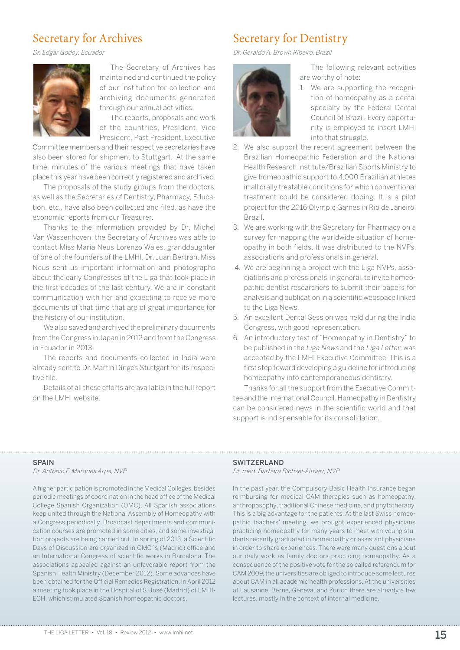## Secretary for Archives

Dr. Edgar Godoy, Ecuador



The Secretary of Archives has maintained and continued the policy of our institution for collection and archiving documents generated through our annual activities.

The reports, proposals and work of the countries, President, Vice President, Past President, Executive

Committee members and their respective secretaries have also been stored for shipment to Stuttgart. At the same time, minutes of the various meetings that have taken place this year have been correctly registered and archived.

The proposals of the study groups from the doctors, as well as the Secretaries of Dentistry, Pharmacy, Education, etc., have also been collected and filed, as have the economic reports from our Treasurer.

Thanks to the information provided by Dr. Michel Van Wassenhoven, the Secretary of Archives was able to contact Miss Maria Neus Lorenzo Wales, granddaughter of one of the founders of the LMHI, Dr. Juan Bertran. Miss Neus sent us important information and photographs about the early Congresses of the Liga that took place in the first decades of the last century. We are in constant communication with her and expecting to receive more documents of that time that are of great importance for the history of our institution.

We also saved and archived the preliminary documents from the Congress in Japan in 2012 and from the Congress in Ecuador in 2013.

The reports and documents collected in India were already sent to Dr. Martin Dinges Stuttgart for its respective file.

Details of all these efforts are available in the full report on the LMHI website.

# Secretary for Dentistry

Dr. Geraldo A. Brown Ribeiro, Brazil



The following relevant activities are worthy of note:

- 1. We are supporting the recognition of homeopathy as a dental specialty by the Federal Dental Council of Brazil. Every opportunity is employed to insert LMHI into that struggle.
- 2. We also support the recent agreement between the Brazilian Homeopathic Federation and the National Health Research Institute/Brazilian Sports Ministry to give homeopathic support to 4,000 Brazilian athletes in all orally treatable conditions for which conventional treatment could be considered doping. It is a pilot project for the 2016 Olympic Games in Rio de Janeiro, Brazil.
- 3. We are working with the Secretary for Pharmacy on a survey for mapping the worldwide situation of homeopathy in both fields. It was distributed to the NVPs, associations and professionals in general.
- 4. We are beginning a project with the Liga NVPs, associations and professionals, in general, to invite homeopathic dentist researchers to submit their papers for analysis and publication in a scientific webspace linked to the Liga News.
- 5. An excellent Dental Session was held during the India Congress, with good representation.
- 6. An introductory text of "Homeopathy in Dentistry" to be published in the Liga News and the Liga Letter, was accepted by the LMHI Executive Committee. This is a first step toward developing a guideline for introducing homeopathy into contemporaneous dentistry.

Thanks for all the support from the Executive Committee and the International Council. Homeopathy in Dentistry can be considered news in the scientific world and that support is indispensable for its consolidation.

## **SPAIN**

Dr. Antonio F. Marqués Arpa, NVP

A higher participation is promoted in the Medical Colleges, besides periodic meetings of coordination in the head office of the Medical College Spanish Organization (OMC). All Spanish associations keep united through the National Assembly of Homeopathy with a Congress periodically. Broadcast departments and communication courses are promoted in some cities, and some investigation projects are being carried out. In spring of 2013, a Scientific Days of Discussion are organized in OMC´s (Madrid) office and an International Congress of scientific works in Barcelona. The associations appealed against an unfavorable report from the Spanish Health Ministry (December 2012). Some advances have been obtained for the Official Remedies Registration. In April 2012 a meeting took place in the Hospital of S. José (Madrid) of LMHI-ECH, which stimulated Spanish homeopathic doctors.

## Switzerland

Dr. med. Barbara Bichsel-Altherr, NVP

In the past year, the Compulsory Basic Health Insurance began reimbursing for medical CAM therapies such as homeopathy, anthroposophy, traditional Chinese medicine, and phytotherapy. This is a big advantage for the patients. At the last Swiss homeopathic teachers' meeting, we brought experienced physicians practicing homeopathy for many years to meet with young students recently graduated in homeopathy or assistant physicians in order to share experiences. There were many questions about our daily work as family doctors practicing homeopathy. As a consequence of the positive vote for the so called referendum for CAM 2009, the universities are obliged to introduce some lectures about CAM in all academic health professions. At the universities of Lausanne, Berne, Geneva, and Zurich there are already a few lectures, mostly in the context of internal medicine.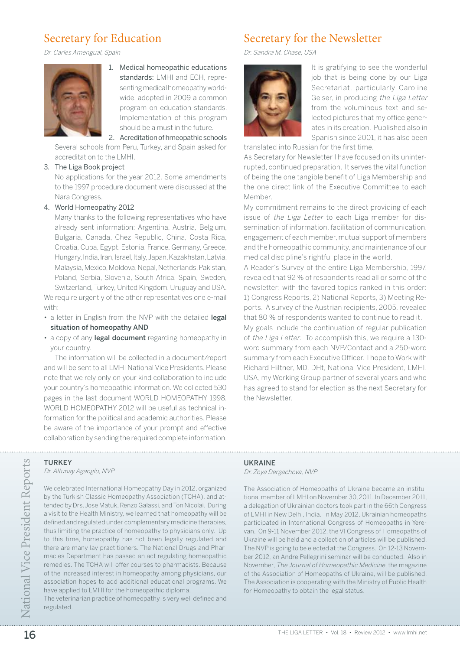# Secretary for Education

Dr. Carles Amengual, Spain



1. Medical homeopathic educations standards: LMHI and ECH, representing medical homeopathy worldwide, adopted in 2009 a common program on education standards. Implementation of this program should be a must in the future.

2. Acreditation of hmeopathic schools

Several schools from Peru, Turkey, and Spain asked for accreditation to the LMHI.

## 3. The Liga Book project

No applications for the year 2012. Some amendments to the 1997 procedure document were discussed at the Nara Congress.

## 4. World Homeopathy 2012

Many thanks to the following representatives who have already sent information: Argentina, Austria, Belgium, Bulgaria, Canada, Chez Republic, China, Costa Rica, Croatia, Cuba, Egypt, Estonia, France, Germany, Greece, Hungary, India, Iran, Israel, Italy, Japan, Kazakhstan, Latvia, Malaysia, Mexico, Moldova, Nepal, Netherlands, Pakistan, Poland, Serbia, Slovenia, South Africa, Spain, Sweden,

Switzerland, Turkey, United Kingdom, Uruguay and USA. We require urgently of the other representatives one e-mail with:

- a letter in English from the NVP with the detailed legal situation of homeopathy AND
- a copy of any legal document regarding homeopathy in your country.

The information will be collected in a document/report and will be sent to all LMHI National Vice Presidents. Please note that we rely only on your kind collaboration to include your country's homeopathic information. We collected 530 pages in the last document WORLD HOMEOPATHY 1998. WORLD HOMEOPATHY 2012 will be useful as technical information for the political and academic authorities. Please be aware of the importance of your prompt and effective collaboration by sending the required complete information.

# Secretary for the Newsletter

Dr. Sandra M. Chase, USA



It is gratifying to see the wonderful job that is being done by our Liga Secretariat, particularly Caroline Geiser, in producing the Liga Letter from the voluminous text and selected pictures that my office generates in its creation. Published also in Spanish since 2001, it has also been

translated into Russian for the first time.

As Secretary for Newsletter I have focused on its uninterrupted, continued preparation. It serves the vital function of being the one tangible benefit of Liga Membership and the one direct link of the Executive Committee to each Member.

My commitment remains to the direct providing of each issue of the Liga Letter to each Liga member for dissemination of information, facilitation of communication, engagement of each member, mutual support of members and the homeopathic community, and maintenance of our medical discipline's rightful place in the world.

A Reader's Survey of the entire Liga Membership, 1997, revealed that 92 % of respondents read all or some of the newsletter; with the favored topics ranked in this order: 1) Congress Reports, 2) National Reports, 3) Meeting Reports. A survey of the Austrian recipients, 2005, revealed that 80 % of respondents wanted to continue to read it.

My goals include the continuation of regular publication of the Liga Letter. To accomplish this, we require a 130 word summary from each NVP/Contact and a 250-word summary from each Executive Officer. I hope to Work with Richard Hiltner, MD, DHt, National Vice President, LMHI, USA, my Working Group partner of several years and who has agreed to stand for election as the next Secretary for the Newsletter.

## **TURKEY** Dr. Altunay Agaoglu, NVP

16 TURKEY<br>  $20\%$  CA Altunay Agaoglu, NVP<br>  $20\%$  Calcular thermational Hormeopathy Day in 2012, organized<br>
The Association of Homeopaths of Ukraine became an instituted<br>
by the Turkish Classic Homeopathy Association (TC We celebrated International Homeopathy Day in 2012, organized by the Turkish Classic Homeopathy Association (TCHA), and attended by Drs. Jose Matuk, Renzo Galassi, and Ton Nicolai. During a visit to the Health Ministry, we learned that homeopathy will be defined and regulated under complementary medicine therapies, thus limiting the practice of homeopathy to physicians only. Up to this time, homeopathy has not been legally regulated and there are many lay practitioners. The National Drugs and Pharmacies Department has passed an act regulating homeopathic remedies. The TCHA will offer courses to pharmacists. Because of the increased interest in homeopathy among physicians, our association hopes to add additional educational programs. We have applied to LMHI for the homeopathic diploma.

The veterinarian practice of homeopathy is very well defined and regulated.

## **UKRAINE**

Dr. Zoya Dergachova, NVP

The Association of Homeopaths of Ukraine became an institutional member of LMHI on November 30, 2011. In December 2011, a delegation of Ukrainian doctors took part in the 66th Congress of LMHI in New Delhi, India. In May 2012, Ukrainian homeopaths participated in International Congress of Homeopaths in Yerevan. On 9-11 November 2012, the VI Congress of Homeopaths of Ukraine will be held and a collection of articles will be published. The NVP is going to be elected at the Congress. On 12-13 November 2012, an Andre Pellegrini seminar will be conducted. Also in November, The Journal of Homeopathic Medicine, the magazine of the Association of Homeopaths of Ukraine, will be published. The Association is cooperating with the Ministry of Public Health for Homeopathy to obtain the legal status.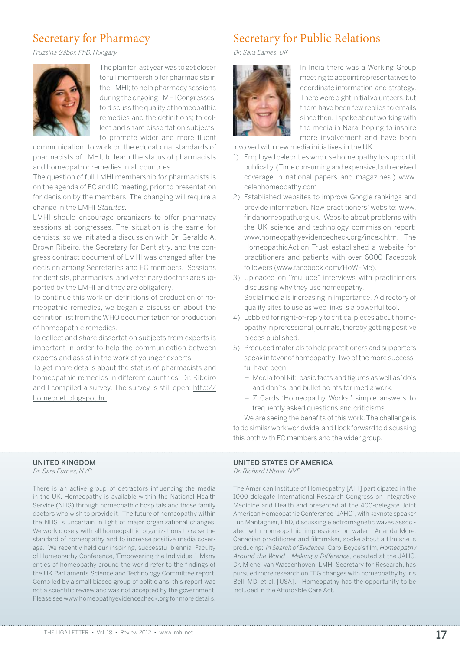# Secretary for Pharmacy

Fruzsina Gábor, PhD, Hungary



The plan for last year was to get closer to full membership for pharmacists in the LMHI; to help pharmacy sessions during the ongoing LMHI Congresses; to discuss the quality of homeopathic remedies and the definitions; to collect and share dissertation subjects; to promote wider and more fluent

communication; to work on the educational standards of pharmacists of LMHI; to learn the status of pharmacists and homeopathic remedies in all countries.

The question of full LMHI membership for pharmacists is on the agenda of EC and IC meeting, prior to presentation for decision by the members. The changing will require a change in the LMHI Statutes.

LMHI should encourage organizers to offer pharmacy sessions at congresses. The situation is the same for dentists, so we initiated a discussion with Dr. Geraldo A. Brown Ribeiro, the Secretary for Dentistry, and the congress contract document of LMHI was changed after the decision among Secretaries and EC members. Sessions for dentists, pharmacists, and veterinary doctors are supported by the LMHI and they are obligatory.

To continue this work on definitions of production of homeopathic remedies, we began a discussion about the definition list from the WHO documentation for production of homeopathic remedies.

To collect and share dissertation subjects from experts is important in order to help the communication between experts and assist in the work of younger experts.

To get more details about the status of pharmacists and homeopathic remedies in different countries, Dr. Ribeiro and I compiled a survey. The survey is still open: http:// homeonet.blogspot.hu.

# Secretary for Public Relations

Dr. Sara Eames, UK



In India there was a Working Group meeting to appoint representatives to coordinate information and strategy. There were eight initial volunteers, but there have been few replies to emails since then. I spoke about working with the media in Nara, hoping to inspire more involvement and have been

involved with new media initiatives in the UK.

- 1) Employed celebrities who use homeopathy to support it publically. (Time consuming and expensive, but received coverage in national papers and magazines.) www. celebhomeopathy.com
- 2) Established websites to improve Google rankings and provide information. New practitioners' website: www. findahomeopath.org.uk. Website about problems with the UK science and technology commission report: www.homeopathyevidencecheck.org/index.htm. The HomeopathicAction Trust established a website for practitioners and patients with over 6000 Facebook followers (www.facebook.com/HoWFMe).
- 3) Uploaded on 'YouTube" interviews with practitioners discussing why they use homeopathy. Social media is increasing in importance. A directory of quality sites to use as web links is a powerful tool.
- 4) Lobbied for right-of-reply to critical pieces about homeopathy in professional journals, thereby getting positive pieces published.
- 5) Produced materials to help practitioners and supporters speak in favor of homeopathy. Two of the more successful have been:
	- Media tool kit: basic facts and figures as well as 'do's and don'ts' and bullet points for media work.
	- Z Cards 'Homeopathy Works:' simple answers to frequently asked questions and criticisms.

We are seeing the benefits of this work. The challenge is to do similar work worldwide, and I look forward to discussing this both with EC members and the wider group.

## United Kingdom

Dr. Sara Eames, NVP

There is an active group of detractors influencing the media in the UK. Homeopathy is available within the National Health Service (NHS) through homeopathic hospitals and those family doctors who wish to provide it. The future of homeopathy within the NHS is uncertain in light of major organizational changes. We work closely with all homeopathic organizations to raise the standard of homeopathy and to increase positive media coverage. We recently held our inspiring, successful biennial Faculty of Homeopathy Conference, 'Empowering the Individual.' Many critics of homeopathy around the world refer to the findings of the UK Parliaments Science and Technology Committee report. Compiled by a small biased group of politicians, this report was not a scientific review and was not accepted by the government. Please see www.homeopathyevidencecheck.org for more details.

## UNITED STATES OF AMERICA

Dr. Richard Hiltner, NVP

The American Institute of Homeopathy [AIH] participated in the 1000-delegate International Research Congress on Integrative Medicine and Health and presented at the 400-delegate Joint American Homeopathic Conference [JAHC], with keynote speaker Luc Mantagnier, PhD, discussing electromagnetic waves associated with homeopathic impressions on water. Ananda More, Canadian practitioner and filmmaker, spoke about a film she is producing: In Search of Evidence. Carol Boyce's film, Homeopathy Around the World - Making a Difference, debuted at the JAHC. Dr. Michel van Wassenhoven, LMHI Secretary for Research, has pursued more research on EEG changes with homeopathy by Iris Bell, MD, et al. [USA]. Homeopathy has the opportunity to be included in the Affordable Care Act.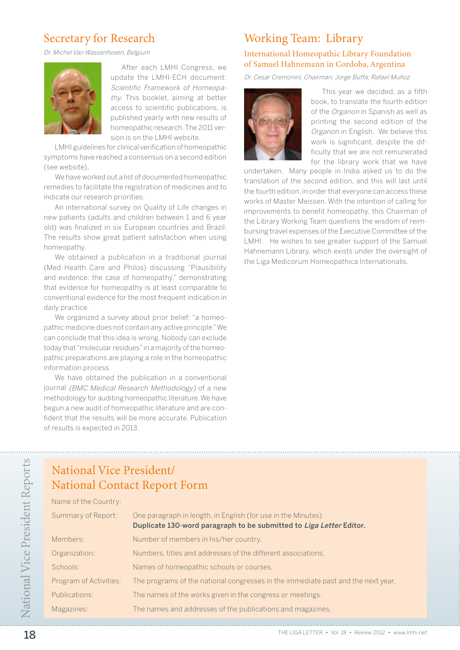# Secretary for Research

Dr. Michel Van Wassenhoven, Belgium



After each LMHI Congress, we update the LMHI-ECH document: Scientific Framework of Homeopathy. This booklet, aiming at better access to scientific publications, is published yearly with new results of homeopathic research. The 2011 version is on the LMHI website.

LMHI guidelines for clinical verification of homeopathic symptoms have reached a consensus on a second edition (see website).

We have worked out a list of documented homeopathic remedies to facilitate the registration of medicines and to indicate our research priorities.

An international survey on Quality of Life changes in new patients (adults and children between 1 and 6 year old) was finalized in six European countries and Brazil. The results show great patient satisfaction when using homeopathy.

We obtained a publication in a traditional journal (Med Health Care and Philos) discussing "Plausibility and evidence: the case of homeopathy," demonstrating that evidence for homeopathy is at least comparable to conventional evidence for the most frequent indication in daily practice.

We organized a survey about prior belief: "a homeopathic medicine does not contain any active principle." We can conclude that this idea is wrong. Nobody can exclude today that "molecular residues" in a majority of the homeopathic preparations are playing a role in the homeopathic information process.

We have obtained the publication in a conventional journal (BMC Medical Research Methodology) of a new methodology for auditing homeopathic literature. We have begun a new audit of homeopathic literature and are confident that the results will be more accurate. Publication of results is expected in 2013.

# Working Team: Library

## International Homeopathic Library Foundation of Samuel Hahnemann in Cordoba, Argentina

Dr. Cesar Cremonini, Chairman; Jorge Buffa; Rafael Muñoz



This year we decided, as a fifth book, to translate the fourth edition of the Organon in Spanish as well as printing the second edition of the Organon in English. We believe this work is significant, despite the difficulty that we are not remunerated for the library work that we have

undertaken. Many people in India asked us to do the translation of the second edition, and this will last until the fourth edition, in order that everyone can access these works of Master Meissen. With the intention of calling for improvements to benefit homeopathy, this Chairman of the Library Working Team questions the wisdom of reimbursing travel expenses of the Executive Committee of the LMHI. He wishes to see greater support of the Samuel Hahnemann Library, which exists under the oversight of the Liga Medicorum Homeopathica Internationalis.

# National Vice President/ National Contact Report Form

Name of the Country:

Summary of Report: One paragraph in length, in English (for use in the Minutes) Duplicate 130-word paragraph to be submitted to Liga Letter Editor. Members: Number of members in his/her country. Organization: Numbers, titles and addresses of the different associations. Schools: Names of homeopathic schools or courses. Program of Activities: The programs of the national congresses in the immediate past and the next year. Publications: The names of the works given in the congress or meetings. Magazines: The names and addresses of the publications and magazines.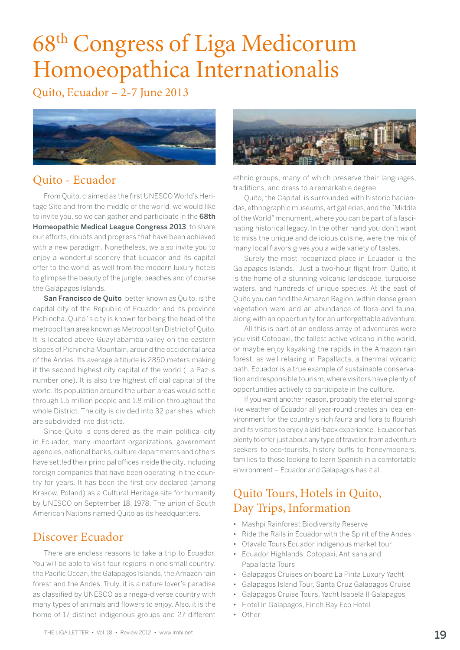# 68th Congress of Liga Medicorum Homoeopathica Internationalis

Quito, Ecuador – 2-7 June 2013



# Quito - Ecuador

From Quito, claimed as the first UNESCO World's Heritage Site and from the middle of the world, we would like to invite you, so we can gather and participate in the 68th Homeopathic Medical League Congress 2013, to share our efforts, doubts and progress that have been achieved with a new paradigm. Nonetheless, we also invite you to enjoy a wonderful scenery that Ecuador and its capital offer to the world, as well from the modern luxury hotels to glimpse the beauty of the jungle, beaches and of course the Galápagos Islands.

San Francisco de Quito, better known as Quito, is the capital city of the Republic of Ecuador and its province Pichincha. Quito´s city is known for being the head of the metropolitan area known as Metropolitan District of Quito. It is located above Guayllabamba valley on the eastern slopes of Pichincha Mountain, around the occidental area of the Andes. Its average altitude is 2850 meters making it the second highest city capital of the world (La Paz is number one). It is also the highest official capital of the world. Its population around the urban areas would settle through 1.5 million people and 1.8 million throughout the whole District. The city is divided into 32 parishes, which are subdivided into districts.

Since Quito is considered as the main political city in Ecuador, many important organizations, government agencies, national banks, culture departments and others have settled their principal offices inside the city, including foreign companies that have been operating in the country for years. It has been the first city declared (among Krakow, Poland) as a Cultural Heritage site for humanity by UNESCO on September 18, 1978. The union of South American Nations named Ouito as its headquarters.

## Discover Ecuador

There are endless reasons to take a trip to Ecuador. You will be able to visit four regions in one small country, the Pacific Ocean, the Galapagos Islands, the Amazon rain forest and the Andes. Truly, it is a nature lover's paradise as classified by UNESCO as a mega-diverse country with many types of animals and flowers to enjoy. Also, it is the home of 17 distinct indigenous groups and 27 different



ethnic groups, many of which preserve their languages, traditions, and dress to a remarkable degree.

Quito, the Capital, is surrounded with historic haciendas, ethnographic museums, art galleries, and the "Middle of the World" monument, where you can be part of a fascinating historical legacy. In the other hand you don't want to miss the unique and delicious cuisine, were the mix of many local flavors gives you a wide variety of tastes.

Surely the most recognized place in Ecuador is the Galapagos Islands. Just a two-hour flight from Quito, it is the home of a stunning volcanic landscape, turquoise waters, and hundreds of unique species. At the east of Quito you can find the Amazon Region, within dense green vegetation were and an abundance of flora and fauna, along with an opportunity for an unforgettable adventure.

All this is part of an endless array of adventures were you visit Cotopaxi, the tallest active volcano in the world, or maybe enjoy kayaking the rapids in the Amazon rain forest, as well relaxing in Papallacta, a thermal volcanic bath. Ecuador is a true example of sustainable conservation and responsible tourism, where visitors have plenty of opportunities actively to participate in the culture.

If you want another reason, probably the eternal springlike weather of Ecuador all year-round creates an ideal environment for the country's rich fauna and flora to flourish and its visitors to enjoy a laid-back experience. Ecuador has plenty to offer just about any type of traveler, from adventure seekers to eco-tourists, history buffs to honeymooners, families to those looking to learn Spanish in a comfortable environment – Ecuador and Galapagos has it all.

# Quito Tours, Hotels in Quito, Day Trips, Information

- Mashpi Rainforest Biodiversity Reserve
- Ride the Rails in Ecuador with the Spirit of the Andes
- Otavalo Tours Ecuador indigenous market tour
- Ecuador Highlands, Cotopaxi, Antisana and Papallacta Tours
- Galapagos Cruises on board La Pinta Luxury Yacht
- Galapagos Island Tour, Santa Cruz Galapagos Cruise
- Galapagos Cruise Tours, Yacht Isabela II Galapagos
- Hotel in Galapagos, Finch Bay Eco Hotel
- Other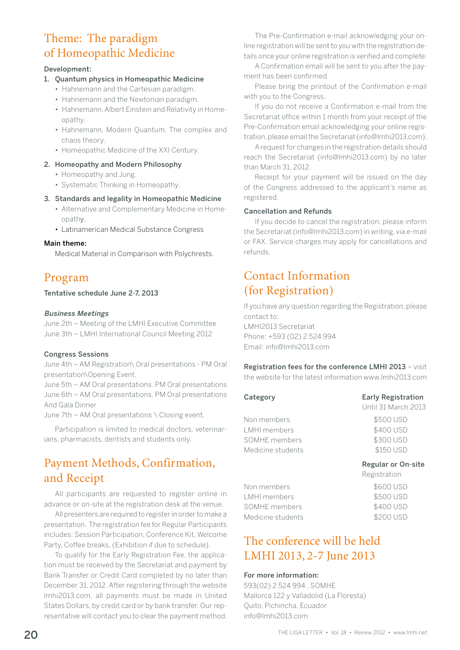# Theme: The paradigm of Homeopathic Medicine

## Development:

## 1. Quantum physics in Homeopathic Medicine

- Hahnemann and the Cartesian paradigm.
- Hahnemann and the Newtonian paradigm.
- Hahnemann, Albert Einstein and Relativity in Homeopathy.
- Hahnemann, Modern Quantum. The complex and chaos theory.
- Homeopathic Medicine of the XXI Century.

## 2. Homeopathy and Modern Philosophy

- Homeopathy and Jung.
- Systematic Thinking in Homeopathy.

## 3. Standards and legality in Homeopathic Medicine

- Alternative and Complementary Medicine in Homeopathy.
- Latinamerican Medical Substance Congress

## Main theme:

Medical Material in Comparison with Polychrests.

# Program

## Tentative schedule June 2-7, 2013

## Business Meetings

June 2th – Meeting of the LMHI Executive Committee June 3th – LMHI International Council Meeting 2012

## Congress Sessions

June 4th – AM Registration\ Oral presentations - PM Oral presentation\Opening Event.

June 5th – AM Oral presentations. PM Oral presentations June 6th – AM Oral presentations. PM Oral presentations And Gala Dinner

June 7th – AM Oral presentations \ Closing event.

Participation is limited to medical doctors, veterinarians, pharmacists, dentists and students only.

# Payment Methods, Confirmation, and Receipt

All participants are requested to register online in advance or on-site at the registration desk at the venue.

All presenters are required to register in order to make a presentation. The registration fee for Regular Participants includes: Session Participation, Conference Kit, Welcome Party, Coffee breaks, (Exhibition if due to schedule).

To qualify for the Early Registration Fee, the application must be received by the Secretariat and payment by Bank Transfer or Credit Card completed by no later than December 31, 2012. After registering through the website lmhi2013.com, all payments must be made in United States Dollars, by credit card or by bank transfer. Our representative will contact you to clear the payment method.

The Pre-Confirmation e-mail acknowledging your online registration will be sent to you with the registration details once your online registration is verified and complete.

A Confirmation email will be sent to you after the payment has been confirmed.

Please bring the printout of the Confirmation e-mail with you to the Congress.

If you do not receive a Confirmation e-mail from the Secretariat office within 1 month from your receipt of the Pre-Confirmation email acknowledging your online registration, please email the Secretariat (info@lmhi2013.com).

A request for changes in the registration details should reach the Secretariat (info@lmhi2013.com) by no later than March 31, 2012.

Receipt for your payment will be issued on the day of the Congress addressed to the applicant's name as registered.

## Cancellation and Refunds

If you decide to cancel the registration, please inform the Secretariat (info@lmhi2013.com) in writing, via e-mail or FAX. Service charges may apply for cancellations and refunds.

# Contact Information (for Registration)

If you have any question regarding the Registration, please contact to: LMHI2013 Secretariat Phone: +593 (02) 2 524 994 Email: info@lmhi2013.com

## Registration fees for the conference LMHI 2013 - visit

the website for the latest information www.lmhi2013.com

| Category          | <b>Early Registration</b><br>Until 31 March 2013 |  |  |
|-------------------|--------------------------------------------------|--|--|
| Non members       | \$500 USD                                        |  |  |
| LMHI members      | \$400 USD                                        |  |  |
| SOMHE members     | \$300 USD                                        |  |  |
| Medicine students | \$150 USD                                        |  |  |
|                   |                                                  |  |  |

## Regular or On-site

|                   | Registration |  |  |
|-------------------|--------------|--|--|
| Non members       | \$600 USD    |  |  |
| LMHI members      | \$500 USD    |  |  |
| SOMHE members     | \$400 USD    |  |  |
| Medicine students | \$200 USD    |  |  |

# The conference will be held LMHI 2013, 2-7 June 2013

## For more information:

593(02) 2 524 994 , SOMHE Mallorca 122 y Valladolid (La Floresta) Quito, Pichincha, Ecuador info@lmhi2013.com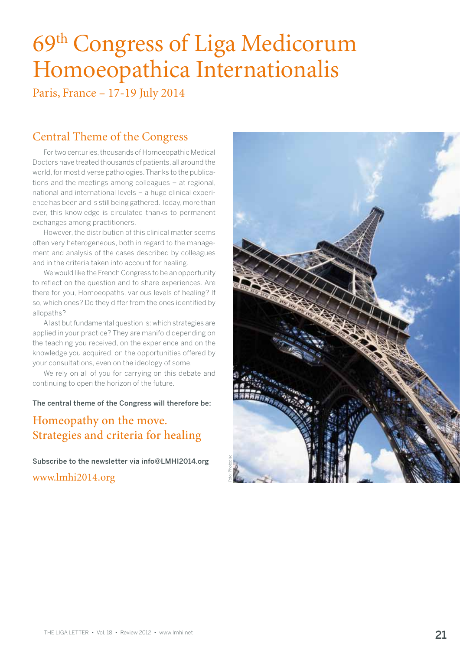# 69<sup>th</sup> Congress of Liga Medicorum Homoeopathica Internationalis

Paris, France – 17-19 July 2014

# Central Theme of the Congress

For two centuries, thousands of Homoeopathic Medical Doctors have treated thousands of patients, all around the world, for most diverse pathologies. Thanks to the publications and the meetings among colleagues – at regional, national and international levels – a huge clinical experience has been and is still being gathered. Today, more than ever, this knowledge is circulated thanks to permanent exchanges among practitioners.

However, the distribution of this clinical matter seems often very heterogeneous, both in regard to the management and analysis of the cases described by colleagues and in the criteria taken into account for healing.

We would like the French Congress to be an opportunity to reflect on the question and to share experiences. Are there for you, Homoeopaths, various levels of healing? If so, which ones? Do they differ from the ones identified by allopaths?

A last but fundamental question is: which strategies are applied in your practice? They are manifold depending on the teaching you received, on the experience and on the knowledge you acquired, on the opportunities offered by your consultations, even on the ideology of some.

We rely on all of you for carrying on this debate and continuing to open the horizon of the future.

## The central theme of the Congress will therefore be:

# Homeopathy on the move. Strategies and criteria for healing

Subscribe to the newsletter via info@LMHI2014.org www.lmhi2014.org

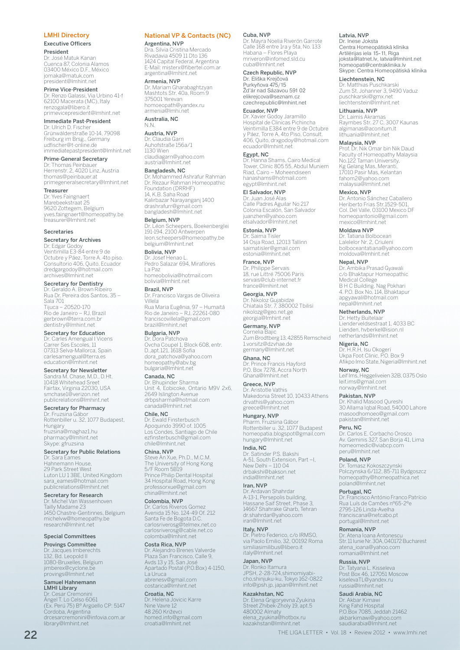#### LMHI Directory

#### Executive Officers President

Dr. José Matuk Kanan Cuenca 87, Colonia Alamos 03400 México D.F., México jomaka@matuk.com president@lmhint.net

#### Prime Vice-President

Dr. Renzo Galassi, Via Urbino 41-f 62100 Macerata (MC), Italy renzogala@libero.it primevicepresident@lmhint.net

Immediate Past-President

Dr. Ulrich D. Fischer Grünwälderstraße 10-14, 79098 Freiburg im Brsg., Germany udfischer@t-online.de immediatepastpresident@lmhint.net

#### Prime-General Secretary

Dr. Thomas Peinbauer Herrenstr. 2, 4020 Linz, Austria thomas@peinbauer.at primegeneralsecretary@lmhint.net

#### Treasurer

Dr. Yves Faingnaert Marebeekstraat 25 9620 Zottegem, Belgium yves.faingnaert@homeopathy.be treasurer@lmhint.net

#### Secretaries

Secretary for Archives

Dr. Edgar Godoy Veintimilla E3-84 entre 9 de Octubre y Páez, Torre A. 4to piso. Consultorio 406, Quito, Ecuador dredgargodoy@hotmail.com archives@lmhint.net

## Secretary for Dentistry

Dr. Geraldo A. Brown Ribeiro Rua Dr. Pereira dos Santos, 35 – Sala 701 Tijuca – 20520-170 Rio de Janeiro – RJ, Brazil gerbrown@terra.com.br dentistry@lmhint.net

## Secretary for Education

Dr. Carles Amengual I Vicens Carrer Ses Escoles, 11 07313 Selva-Mallorca, Spain carlesamengual@terra.es education@lmhint.net

## Secretary for Newsletter Sandra M. Chase, M.D., D.Ht. 10418 Whitehead Sreet Fairfax, Virginia 22030, USA smchase1@verizon.net publicrelations@lmhint.net

Secretary for Pharmacy Dr. Fruzsina Ga Rottenbiller u. 32, 1077 Budapest, Hungary fruzsina@maghaz1.hu pharmacy@lmhint.net Skype: gfruzsina

## Secretary for Public Relations

Dr. Sara Eames Hahnemann House, 29 Park Street West Luton LU 1 3BE, United Kingdom sara\_eames@hotmail.com publicrelations@lmhint.net

Secretary for Research Dr. Michel Van Wassenhoven Tailly Madame 23 1450 Chastre-Gentinnes, Belgium michelvw@homeopathy.be research@lmhint.net

### Special Committees

Provings Committee

Dr. Jacques Imberechts 132, Bd. Leopold II 1080-Bruxelles, Belgium jimberex@cyclone.be provings@lmhint.net

### Samuel Hahnemann LMHI Library

Dr. Cesar Cremonini Ángel T. Lo Celso 6061 (Ex. Perú 75) Bº Argüello CP: 5147 Cordoba, Argentina drcesarcremonini@infovia.com.ar library@lmhint.net

## National VP & Contacts (NC)

Argentina, NVP

Dra. Silvia Cristina Mercado Rivadavia 4509 11 Dto 136 1424 Capital Federal, Argentina E-Mail: misterx@fibertel.com.ar argentina@lmhint.net

## Armenia, NVP

Dr. Mariam Gharabaghtzyan Mashtots Str. 40a, Room 9 375001 Yerevan homoeopath@yandex.ru armenia@lmhi.net

#### Australia, NC N.N.

Austria, NVP Dr. Claudia Garn Auhofstraße 156a/1 1130 Wien claudiagarn@yahoo.com austria@lmhint.net

## Bangladesh, NC

Dr. Mohammed Ashrafur Rahman Dr. Rezaur Rahman Homeopathic Foundation (DRRHF) 14, K.B. Saha Road Kalirbazar Narayanganj 1400 drashrafurr@gmail.com bangladesh@lmhint.net

## Belgium, NVP

Dr. Léon Scheepers, Boekenberglei 191-194, 2100 Antwerpen leon.scheepers@homeopathy.be belgium@lmhint.net

#### Bolivia, NVP

Dr. Josef Henao L. Pedro Salazar 694, Miraflores La Paz homeobolivia@hotmail.com

## bolivia@lmhint.net

Brazil, NVP Dr. Francisco Vargas de Oliveira Villela Rua Maria Eugênia, 97 – Humaitá Rio de Janeiro – RJ, 22261-080 franciscovillela@gmail.com brazil@lmhint.net

#### Bulgaria, NVP

Dr. Dora Patchova Ovcha Coupel 1, Block 608, entr. D.,apt.121, 1618 Sofia dora\_patchova@yahoo.com homeopathy@abv.bg bulgaria@lmhint.net

## Canada, NC

Dr. Bhupinder Sharma Unit 4, Eobicoke, Ontario M9V 2x6, 2649 Islington Avenue drbpsharma@hotmail.com canada@lmhint.net

#### Chile, NC

Dr. Ewald Finsterbusch Apoquindo 3990 of. 1005 Los Condes, Santiago de Chile ezfinsterbusch@gmail.com chile@lmhint.net

#### China, NVP

Steve An Xue, Ph.D., M.C.M. The University of Hong Kong 5/F Room 5B19 Prince Philip Dental Hospital 34 Hospital Road, Hong Kong professorxue@gmail.com china@lmhint.net

#### Colombia, NVP

Dr. Carlos Riveros Gomez Avenida 15 No. 124-49 Of. 212 Santa Fe de Bogota D.C. carlosriverosg@telmex.net.co carlosriverosg@cable.net.co colombia@lmhint.net

### Costa Rica, NVP

Dr. Alejandro Brenes Valverde Plaza San Francisco, Calle 9, Avds 13 y 15, San José Apartado Postal (P.O.Box) 4-1150, La Uruca abrenesv@gmail.com costarica@lmhint.net

#### Croatia, NC Dr. Helena Jovicic Karre Nine Vavre 12 48 260 Križevci homed.info@gmail.com croatia@lmhint.net

#### Cuba, NVP

Dr. Mayra Noelia Riverón Garrote Calle 168 entre 1ra y 5ta, No. 133 Habana – Flores Playa mriveron@infomed.sld.cu cuba@lmhint.net

## Czech Republic, NVP

Dr. Eliška Krejčová Purkyňova 475/15 Žd'ár nad Sázavou 591 02 elikrejcova@seznam.cz czechrepublic@lmhint.net

## Ecuador, NVP

Dr. Xavier Godoy Jaramillo Hospital de Clinicas Pichincha Veintimilla E384 entre 9 de Octubre y Páez, Torre A, 4to Piso, Consult. 406, Quito, drxgodoy@hotmail.com ecuador@lmhint.net

## Egypt, NC

Dr. Hanna Shams, Cairo Medical Tower, Clinic 805 55, Abdul Muniem Riad, Cairo – Moheendiseen hanashams@hotmail.com egypt@lmhint.net

## El Salvador, NVP

Dr. Juan José Alas Calle Padres Aguilar No 217 Colonia Escalón, San Salvador juanzhen@yahoo.com elsalvador@lmhint.net

## Estonia, NVP

Dr. Saima Tisler 14 Osja Road, 12013 Tallinn saimatisler@gmail.com estonia@lmhint.net

France, NVP Dr. Philippe Servais 18, rue Littré 75006 Paris servais@club-internet.fr france@lmhint.net

## Georgia, NVP Dr. Nikoloz Gujabidze Chiataia Str. 7, 380002 Tbilisi nikolozg@geo.net.ge georgia@lmhint.net

Germany, NVP Cornelia B Zum Brodtberg 13, 42855 Remscheid 1.vorsitz@dzvhae.de germany@lmhint.net

Ghana, NC Dr. Prince Francis Hayford P.O. Box 7278, Accra North Ghana@lmhint.net

## Greece, NVP Dr. Aristotle Vathis Makedonia Street 10, 10433 Athens drvathis@yahoo.com greece@lmhint.net

Hungary, NVP Pharm. Fruzsina Gábor Rottenbiller u. 32, 1077 Budapest homeopatia.blogspot@gmail.com hungary@lmhint.net

#### India, NC

Dr. Satinder P.S. Bakshi A-51, South Extension, Part –I, New Delhi – 110 04 drbakshi@bakson.net india@lmhint.net

## Iran, NVP

Dr. Ardavan Shahrdar A-13-1, Persepolis building, Hassane Saif Street, Phase 3, 14667 Shahrake Gharb, Tehran dr.shahrdar@yahoo.com iran@lmhint.net

## Italy, NVP

Dr. Pietro Federico, c/o IRMSO, via Paolo Emilio, 32, 00192 Roma similiasimilibus@libero.it italy@lmhint.net

## Japan, NVP

Dr. Ronko Itamura JPSH, 2-28-724,shimomiyabi-cho,shinjuku-ku, Tokyo 162-0822 info@jpsh.jp, japan@lmhint.net

#### Kazakhstan, NC

22 THE LIGA LETTER • Vol. 18 • Review 2012 • www.lmhi.net

Dr. Elena Grigoryevna Zyukina Street Zhibek-Zholy 19, apt.5 480002 Almaty elena\_zyukina@hotbox.ru kazakhstan@lmhint.net

#### Latvia, NVP

Dr. Inese Joksta Centra Homeopātiskā klīnika Artilērijas iela 15-11, Riga joksta@latnet.lv, latvia@lmhint.net homeopati@centraklinika.lv Skype: Centra Homeopātiskā klīnika

### Liechtenstein, NC

Dr. Matthias Puschkarski Zum St. Johanner 3, 9490 Vaduz puschkarski@gmx.net liechtenstein@lmhint.net

## Lithuania, NVP

Dr. Laimis Akramas Raymbes Str. 27 C, 3007 Kaunas algimanas@aconitum.lt lithuania@lmhint.net

#### Malaysia, NVP

Prof. Dr. Nik Omar bin Nik Daud Faculty of Homeopathy Malaysia No.122 Taman University, Kg Gelang Mas, Meranti, 17010 Pasir Mas, Kelantan fahom2@yahoo.com malaysia@lmhint.net

#### Mexico, NVP

Dr. Antonio Sánchez Caballero Heriberto Frias Str.1529-501, Col. Del Valle, 03100 Mexico DF homeopantonio@gmail.com mexico@lmhint.net

#### Moldava NVP

Dr. Tatiana Bolbocean Lalelelor Nr. 2, Criuleni bolboceantatiana@yahoo.com moldova@lmhint.net

#### Nepal, NVP

Dr. Ambika Prasad Gyawali c/o Bhaktapur Homeopathic Medical College B H C Building. Nag Pokhari 4. P.O. Box No. 114, Bhaktapur apgyawali@hotmail.com nepal@lmhint.net

## Netherlands, NVP

Nigeria, NC

Norway, NC

Pakistan, NVP

Peru, NC

Portugal, NC

Russia, NVP

2795-126 Linda-Avelha franciscana@netcabo.pt portugal@lmhint.net Romania, NVP Dr. Atena Ioana Antonescu Str. 11 Iunie Nr. 30A, 040172 Bucharest

atena\_ioana@yahoo.com romania@lmhint.net

Dr. Tatyana L. Kisseleva Post Box 46, 127051 Moscow kiselevaTL@yandex.ru russia@lmhint.net Saudi Arabia, NC Dr. Akbar Kimawi King Fahd Hospital P.O.Box 7085, Jeddah 21462 akbarkimawi@yahoo.com saudiarabia@lmhint.net

Dr. Hetty Buitelaar Lienderveldsestraat 1, 4033 BC Lienden, hvberkel@ision.nl netherlands@lmhint.net

Leif Ims, Heggeliveien 32B, 0375 Oslo leif.ims@gmail.com norway@lmhint.net

Dr. Khalid Masood Qureshi 30 Allama Iqbal Road, 54000 Lahore masoodhomoeo@gmail.com pakistan@lmhint.net

Dr. Tomasz Kokoszczynski Polczynska 6/112, 85-711 Bydgoszcz homeopathy@homeopathica.net poland@lmhint.net

Dr. Francisco António Franco Patrício Rua Luís de Camões nº65-2ºe

Dr. Carlos E. Corbacho Orosco Av. Geminis 327, San Borja 41, Lima homeomedic@viabcp.com peru@lmhint.net Poland, NVP

Dr. H.R.H. Isu Okogeri Ukpa Foot Clinic, P.O. Box 9 Afikpo Imo State, Nigeria@lmhint.net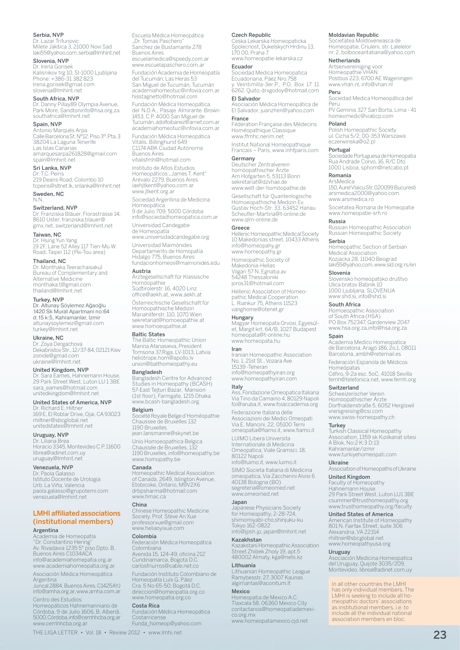### Serbia, NVP

Dr. Lazar Trifunovic Milete Jakšica 3, 21000 Novi Sad laki55@yahoo.com, serbia@lmhint.net

#### Slovenia, NVP

Dr. Irena Gorisek Kalisnikov trg 10, SI-1000 Ljubljana Phone: +386-31 382 823 Irena.gorisek@gmail.com slovenia@lmhint.net

#### South Africa, NVP

Dr. Danny Pillay89 Olympia Avenue, Park More, Sandtoninfo@hsa.org.za southafrica@lmhint.net

### Spain, NVP

Antonio Marqués Arpa Calle Barcelona St. Nº12. Piso 3º. Pta. 3 38204 La Laguna Tenerife Las Islas Canarias amarquesarpa261828@gmail.com spain@lmhint.net

### Sri Lanka, NVP

Dr. T.C. Peiris 219 Deans Road, Colombo 10 tcpeiris@sltnet.lk, srilanka@lmhint.net Sweden, NC

N.N.

### Switzerland, NVP

Dr. Franziska Bläuer, Florastrasse 14, 8610 Uster, franziska.blauer@ gmx.net, switzerland@lmhint.net

### Taiwan, NC

Dr. Hsing Yun Yang 19 2F, Lane 52 Alley 117 Tien-Mu W. Road, Taipei 112 (Pei-Tou area)

#### Thailand, NC

Dr. Monthaka Teerachaisakul Bureau of Complementary and Alternative Medicine monthaka.t@gmail.com thailand@lmhint.net

## Turkey, NVP

Dr. Altunay Söylemez Ağaoğlu 1420 Sk Murat Apartmani no:64 d:15 k:5, Kahramanlar, İzmir altunaysoylemez@gmail.com turkey@lmhint.net

#### Ukraine, NC

Dr. Zoya Dergachova Dekabristov Str., 12/37-84, 02121 Kiev zonide@gmail.com ukraine@lmhint.net

### United Kingdom, NVP

Dr. Sara Eames, Hahnemann House, 29 Park Street West, Luton LU 1 3BE sara\_eames@hotmail.com unitedkingdom@lmhint.net

#### United States of America, NVP

Dr. Richard E. Hiltner 169 E, El Roblar Drive, Ojai, CA 93023 rhiltner@sbcglobal.net unitedstates@lmhint.net

## Uruguay, NVP

Dr. Liliana Brea Horacio 3345, Montevideo C.P. 11600 librea@adinet.com.uy uruguay@lmhint.net

#### Venezuela, NVP

Dr. Paola Galasso Istituto Docente de Urologia Urb. La Viña, Valencia paola.galasso@grupotemi.com venezuela@lmhint.net

## LMHI affiliated associations (institutional members)

#### Argentina

Academia de Homeopatía "Dr. Constantino Hering" Av. Rivadavia 1235 5° piso Dpto. B, Buenos Aires C1034ACA info@academiahomepatia.org.ar www.academiahomeopatia.org.ar

Asociación Médica Homeopática Argentina Juncal 2884, Buenos Aires, C1425AYJ

info@amha.org.ar, www.amha.com.ar Centro des Estudios

Homeopáticos Hahnemanniano de Córdoba, 9 de Julio 1606, B. Alberdi, 5000, Córdoba, info@cemhhcba.org.ar www.cemhhcha.org.ar

Escuela Médica Homeopática "Dr. Tomas Paschero" Sanchez de Bustamante 278 Buenos Aires escuelamedica@speedy.com.ar www.escuelapaschero.com.ar Fundación Academia de Homeopatía del Tucumán, Las Heras 53 San Miguel de Tucumán, Tucumán academiahomeotuc@infovia.com.ar hisstagnetto@hotmail.com Fundación Médica Homeopática del N.O.A., Pasaje Almirante Brown 1453, C.P. 4000 San Miguel de Tucumán, adolfoibanez@arnet.com.ar academiahomeotuc@infovia.com.ar

Fundación Médica Homeopática Vitalis, Billinghurst 649 C1174 ABK Ciudad Autónoma

Buenos Aires vitalisfmh@hotmail.com

Instituto de Altos Estudios Homeopáticos "James T. Kent"<br>Arévalo 2279, Buenos Aires iaehjtkent@yahoo.com.ar www.jtkent.org.ar

Sociedad Argentina de Medicina

Homeopática 9 de Julio 709, 5000 Córdoba info@sociedadhomeopatica.com.ar

## Universidad Candegabe

de Homeopatía www.universidadcandegabe.org Universidad Maimónides Departamento de Homopatía Hidalgo 775, Buenos Aires

fundacionhomeos@maimonides.edu Austria

Ärztegesellschaft für Klassische Homöopathie Südtirolerstr. 16, 4020 Linz office@aekh.at, www.aekh.at

Österreichische Gesellschaft für Homöopathische Medizin Mariahilferstr. 110, 1070 Wien sekretariat@homoeopathie.at www.homoeopathie.at

#### Baltic States

The Baltic Homeopathic Union Marina Afanasieva, President Tomsona 37,Riga, LV-1013, Latvia heliotrope.hom@apollo.lv union@balthomeopathy.eu

#### Bangladesh

Bangladesh Centre for Advanced Studies in Homeopathy (BCASH) 57-East Tejturi Bazar, Mansion (1st floor), Farmgate, 1215 Dhaka www.bcash-bangladesh.org

### Belgium

Société Royale Belge d'Homéopathie Chaussee de Bruxelles 132 1190 Bruxelles jean.lansmanne@skynet.be

Unio Homoeopathica Belgica Chaussée de Bruxelles, 132 1190 Bruxelles, info@homeopathy.be www.homopathy.be

#### Canada

Homeopathic Medical Association of Canada, 2649, Islington Avenue, Etobicoke, Ontario, M9V2X6 drbpsharma@hotmail.com www.hmac.ca

#### China

Chinese Homeopathic Medicine Society, Prof. Steve An Xue professorxue@gmail.com www.heliaoyixue.com

#### Colombia

Federación Médica Homeopática Colombiana Avenida 15, 124-49, oficina 212

Cundinamarca, Bogota D.C. carlosfriurros@cable.net.co Fundación Instituto Colombiano de Homeopatía Luis G. Páez Cra. 5 No 65-50, Bogotá D.C. direccion@homeopatía.org.co

## www.homeopatia.org.co

**Costa Rica**<br>Fundación Médica Homeopática **Costarricense** 

Funda\_homeop@yahoo.com

#### Czech Republic

Ceska Lekarska Homeopaticka Spolecnost, Dukelskych Hrdinu 13, 170 00, Praha 7 www.homeopatie-lekarska.cz

Moldavian Republic

Netherlands Artsenvereiniging voor

Peru

Peru

Poland

Portugal

Romania

Russia

Serbia

Slovenia

Spain

Switzerland Schweizerischer Verein

**Turkey** 

Ukraine

Uruguay

vrenigreising@csi.com www.swiss-homeopathy.ch

Kahramanlar/izmir www.turkiyehomeopati.com

United Kingdom Faculty of Homeopathy

Societatea Moldoveneasca de Homeopatie, Criuleni, str. Lalelelor nr. 2, bolboceantatiana@yahoo.com

Homeopathie VHAN Postbus 223, 6700 AE Wageningen www.vhan.nl, info@vhan.nl

Sociedad Medica Homeopática del

PV Geminis 327 San Borta, Lima - 41 homeomedic@viabcp.com

Sociedade Portuguesa de Homeopatia Rua Andrade Corvo, 16, R/C Dto 1000 Lisboa, sphom@netcabo.pt

ArsMedica 150, Aurel Vlaicu Str, 020099 Bucuresti arsmedica2000@yahoo.com www.arsmedica.ro

Societatea Romana de Homeopatie www.homeopatie-srh.ro

Russian Homeopathic Association Russian Homeopathic Society

Homeopathic Section of Serbian Medical Association Kozjacka 28, 11040 Beograd laki55@yahoo.com, www.sld.org.rs/en

Slovensko homeopatsko društvo Ulica bratov Babnik 10 1000 Ljubljana, SLOVENIJA www.shd.si, info@shd.si South Africa

Homoeopathic Association of South Africa (HSA) PO Box 752347, Gardenview 2047 www.hsa.org.za,info@hsa.org.za

Academia Medico Homeopatica de Barcelona, Aragó 186, 2o,1, 08011 Barcelona, ambh@retemail.es Federación Espanola de Médicos Homeópatas Céfiro, 9-2a esc. 5oC, 41018 Sevilla femh@telefonica.net, www.femh.org

Homöopathischer Ärzte Dorfhaldenstraße 5, 6052 Hergiswil

Association of Homeopaths of Ukraine

Hahnemann House 29 Park Street West, Luton LU1 3BE csummer@trusthomeopathy.org www.trusthomeopathy.org/faculty United States of America American Institute of Homeopathy 801 N. Fairfax Street, suite 306 Alexandria, VA 22314 rhiltner@sbcglobal.net www.homeopathyusa.org

ady<br>iación Medicina Homeopatica del Uruguay, Quijote 3035/209, Montevideo, librea@adinet.com.uy

In all other countries the LMHI has only individual members. The LMHI is seeking to include all homeopathic doctors' associations as institutional members, i.e. to include all the individual national association members en bloc.

Turkish Classical Homeopathy Association, 1359 sk Kızılkanat sitesi A Blok, No:2 K:3 D:13

Polish Homeopathic Society ul. Cicha 5/2, 00-353 Warszawa eczerwinska@o2.pl

#### Ecuador

Sociedad Medica Homeopatica Ecuadoriana, Páez Nro.758 y Veintimilla-3er.P., P.O. Box 17 11 6262, Quito, drxgodoy@hotmail.com

#### El Salvador Asociación Médica Homeopática de

El Salvador, juanzhen@yahoo.com France Féderation Française des Médecins Homéopathique Classique

www.ffmhc.nerim.net Institut National Homeopathique Francais – Paris, www.inhfparis.com

Germany

Deutscher Zentralverein homöopathischer Ärzte Am Hofgarten 5, 53113 Bonn sekretariat@dzvhae.de www.welt-der-homöopathie.de

Gesellschaft für Quantenlogische Homoeopathische Medizin Ev. Gustav Hoch-Str. 33, 63452 Hanau

Scheufler-Martina@t-online.de www.qlm-online.de Greece

Hellenic Homeopathic Medical Society 10 Makedonias street, 10433 Athens info@homeopahy.gr www.homeopathy.gr Homeopathic Society of

Makedonia-Hellas Vilgari 57 N. Egnatia av. 54248 Thessaloniki

joros31@hotmail.com Hellenic Association of Homeo-

pathic Medical Cooperation L. Riankur 75, Athens 11523 vanghome@otenet.gr

**Hungary**<br>Magyar Homeopata Orvosi, Egyesül-<br>et, Margit krt. 64/B, 1027 Budapest homeopata@t-online.hu www.homeopata.hu

#### Iran

Iranian Homeopathic Association No. 1, 21st St., Vozara Ave 15139 -Teheran info@homeopathyiran.org

www.homeopathyiran.com

#### Italy

Ass. Fondazione Omeopatica Italiana Via Tino da Camaino 4, 80129 Napoli foi@aruba.it, www.foiaccademia.org

Federazione Italiana delle Associazioni dei Medici Omeopati Via E. Mancini, 22, 05100 Terni omeopatia@fiamo.it, www.fiamo.it

LUIMO Libera Universita Internationale di Medicina Omeopatica, Viale Gramsci, 18, 80122 Napoli

info@luimo.it, www.luimo.it SIMO Societa Italiana di Medicina

omeopatica, Via Zaccherini Alvisi 6 40138 Bologna (BO) segreteria@omeomed.net www.omeomed.net

#### Japan

Japanese Physicians Society for Homeopathy, 2-28-724, shimomiyabi-cho,shinjuku-ku Tokyo 162-0822 info@jpsh.jp, japan@lmhint.net

Kazakhstan

Kazakstani Homeopathic Association Street Zhibek Zholy 19, apt.5 480002 Almaty, kga@nets.kz

#### Lithuania

Lithuanian Homeopathic League Ramybesstr. 27, 3007 Kaunas algimantas@aconitum.lt

#### Mexico

23 THE LIGA LETTER • Vol. 18 • Review 2012 • www.lmhi.net THE LIGA LETTER • Vol. 18 • Review 2012 • www.lmhi.net

Homeopatia de Mexico A.C. Tlaxcala 58, 06360 Mexico City contactanos@homeopatiademexico.org.mx www.homeopatamexico.cjd.net